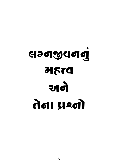# **Gadadad HETA** अले तेना प्रश्नो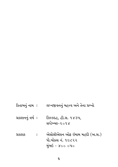કિતાબનું નામ : લગ્નજીવનનું મહત્ત્વ અને તેના પ્રશ્નો પ્રકાશનનું વર્ષ: ઝિલ્કદહ, હી.સ. ૧૪૩૫, સપ્ટેમ્બર-૨૦૧૪ : એસોસીએશન ઓફ ઇમામ મહદી (અ.સ.) પ્રકાશક પો.બોક્સ નં. ૧૯૮૨૨ મુંબઇ - ૪૦૦ ૦૫૦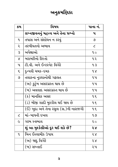# અનુક્રમણિકા

| ક્રમ                     | વિષય                                  | પાના નં.                 |
|--------------------------|---------------------------------------|--------------------------|
|                          | લગ્નજીવનનું મહત્ત્વ અને તેના પ્રશ્નો  | પ                        |
| $\mathbf{q}$             | તપાસ અને સંશોધન ન કરવું               | ৩                        |
| २                        | તરબીયતનો અભાવ                         | $\overline{\mathcal{C}}$ |
| $\mathcal{S}$            | અપેક્ષાઓ                              | 90                       |
| $\mathbf{X}$             | બરાબરીનો રિશ્તો                       | ૧૨                       |
| પ                        | ટી.વી. અને ઈન્ટરનેટ વિગેરે            | 43                       |
| $\zeta$                  | દુન્યવી ચમક−દમક                       | 9x                       |
| ৩                        | તલાકના નુકશાનોથી ગફલત                 | 9.4                      |
|                          | (અ) કુટુંબ અસરગ્રસ્ત થાય છે           | ૧૫                       |
|                          | (બ) અવલાદ અસરગ્રસ્ત થાય છે            | ૧૫                       |
|                          | (ક) માનસિક અસર                        | 95                       |
|                          | (ડ) બીજી શાદી મુશ્કીલ થઈ જાય છે       | 9E                       |
|                          | (ઈ) ખુદા અને તેના રસુલ (સ.)ની નારાજગી | 95                       |
| $\overline{\mathcal{C}}$ | માં-બાપની દખલ                         | १७                       |
| $\tilde{\mathcal{L}}$    | ગરમ સ્વભાવ                            | २०                       |
|                          | શું આ મુશ્કેલીઓ દૂર થઈ શકે છે?        | २४                       |
| L                        | બિન ઈસ્લામીક ઉપાય                     | २४                       |
|                          | (અ) જાદુ વિગેરે                       | २४                       |
|                          | (બ) સખ્તાઈ                            | ૨૫                       |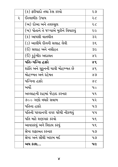|   | (ક) ફરીયાદો તથા કેસ કરવો             | २७           |
|---|--------------------------------------|--------------|
| २ | ઈસ્લામીક ઉપાય                        | २८           |
|   | (અ) દોઆ અને તવસ્સૂલ                  | २८           |
|   | (બ) પોતાને તે જગ્યાએ મુકીને વિચારવું | २८           |
|   | (ક) આપસી વાતચીત                      | ૩૨           |
|   | (ડ) આલીમે દીનની સલાહ લેવી            | $3\xi$       |
|   | (ઈ) સલાહ અને નસીહત                   | ३૯           |
|   | (ઈં) કુટુંબીક અદાલત                  | 85           |
|   | પતિ-પત્નાિ હક્કો                     | 88           |
|   | શાંતિ અને સુકુનની ચાવી મોહબ્બત છે    | 88           |
|   | મોહબ્બત અને રહેમત                    | 89           |
|   | પત્નિના હક્કો                        | $\chi$       |
|   | ખર્ચો                                | $\mathbf{u}$ |
|   | અલ્લાહની રાહમાં જેહાદ કરનાર          | પ૧           |
|   | ૭૦૦ ગણો વધારે સવાબ                   | પર           |
|   | પતિના હક્કો                          | 43           |
|   | પતિની પરવાનગી વગર ઘરેથી નીકળવું      | પપ           |
|   | પતિ માટે શણગાર કરવો                  | પ૬           |
|   | આવકારવું અને વિદાય કરવું             | પ૬           |
|   | શ્રેષ્ઠ શફાઅત કરનાર                  | પ૭           |
|   | શ્રેષ્ઠ અને સૌથી ખરાબ મર્દ           | ૫૭           |
|   | અય કાશ…                              | પ૯           |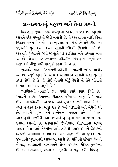صَلَّى اللَّهُ عَلَيْكَ يَأْوَلِيَّ الْعَصْرِ أَدْرِكْنَا

بِسْمِ اللَّهِ الرَّحْمٰنِ الرَّحِيْمِ

# લગ્નજીવનનું મહત્ત્વ અને તેના પ્રશ્નો

વિવાહીત જીવન દરેક મખ્લુકની ફીતરી જરૂરત છે. ખુદાવંદે આલમે દરેક મખ્લુકની જોડી બનાવી છે. તે અલ્લાહના નક્કી કરેલા નિઝામ મુજબ પોતાનો સાથી ખુદ તલાશ કરી લે છે અને ઝીંદગીની જરૂરતોને પુરી કરતા કરતા પોતાની ઝીંદગી વિતાવી નાખે છે. અલ્લાહે ઈન્સાનને બધી મખ્લુકો પર ફઝીલત અને ઉચ્ચતા અતા કરી છે. એટલા માટે ઈન્સાનની ઝીંદગીના વિવાહીત કાનુનો અને મસલાઓ બીજી બધી મખ્લુકો કરતા ભિન્ન છે.

ખુદાવંદે આલમે ઈન્સાનની ઝીંદગીમાં શાદીની ખુબજ તાકીદ કરી છે. રસુલે ખુદા (સ.અ.વ.) એ શાદીને પોતાની એવી સુન્નત કરાર દીધી છે કે 'જે કોઈ તેનાથી મોઢું ફેરવી લે તેને પોતાની ઉમ્મતમાંથી બહાર ગણ્યો છે.'

'પરણિતની નમાઝને ૭૦ ગણી વધારે કરાર દીધી છે.' 'શાદીને અડધા ઈમાનની હીફાઝત કહેવામાં આવ્યું છે.' શાદી ઈન્સાનની ઝીંદગીનો એ જરૂરી અને ખુબજ લાઝમી ભાગ છે જેના વગર ન ફકત જીવન અધુરૂ રહે છે બલ્કે પરેશાની અને બેચૈની રહે છે. શાદીને સુકુન અને ઈત્મેનાન, મવદત અને મોહબ્બત, અલ્લાહથી નઝદીકી તથા સંબંધોને ગુનાહની માફીનો સબબ કરાર દેવામાં આવ્યો છે. સ્વભાવમાં ઈખ્તેલાફ, રીતભાતના અલગ અલગ હોવા છતાં એકબીજા સાથે ઝીંદગી પસાર કરવાને જેહાદનો દરજ્જો આપવામાં આવ્યો છે. એક સફળ ઝીંદગી જીવવા પર જન્નતની ખુશખબરી આપવામાં આવી છે. પત્નિની સંભાળ લેવાને જેહાદ, અવલાદની તરબીયતને શ્રેષ્ઠ ઈબાદત, ધોરણ મુજબની ઈતાઅતને સઆદત, પ્રશ્નો અને મુશ્કીલોને સહન કરીને વિવાહીત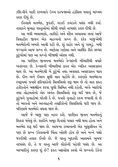ઝીંદગીને બાકી રાખવાને ઉચ્ચ દરજ્જાઓ હાંસિલ થવાનું માધ્યમ કરાર દીધું છે.

ઈસ્લામે મતભેદ, જુદાઈ, લડાઈ ઝઘડાને પસંદ નથી કર્યા. તલાકને મુબાહ વસ્તુઓમાં સૌથી વધારે નાપસંદ કરાર દીધી છે.

આ બધી ભલામણો, તાકીદો અને શૌખ અપાવવા છતાં આજે વિવાહીત જીવન એક મહત્ત્વનો પ્રશ્ન છે. દરેક બાજુએથી મતભેદોની ખબરો આવી રહી છે. શું શહેર અને શું ગામડું. બધી જગ્યાએ આજ પ્રશ્ન છે. ભણેલા ગણેલા અને આર્થિક રીતે સધ્ધર કટંબોમાં પણ આ પ્રશ્નો બીજાથી ઓછા નથી.

આ પરણિત જીવનના મતભેદો કેન્સરની બીમારીથી વધારે ખતરનાક છે. કેન્સરની બીમારીમાં કકત એક વ્યકિત અસરગુસ્ત થાય છે. આ મતભેદથી બે કુટુંબો તથા અવલાદ અસરગ્રસ્ત થાય છે. દીન અને ઈમાન સુધી વાત પહોંચે છે. કારણકે મતભેદના સ્વરૂપમાં જ્યારે ફરિયાદોનો સિલસિલો શરૂ થાય છે તો વાત ફકત હકીકતોને બક્ષક્ષીાન કરવા સુધી સિમિત નથી રહેતી, બલ્કે આરોપો તથા તોહમતોનો એક અનંત સિલસિલો શરૂ થઈ જાય છે. જે કુટુંબને ગુનાહોમાં ઘકેલી દે છે. જ્યારે ગુનાહો કદમ જમાવી લે છે તો બરકતો અને અલ્લાહની તવકીકોનો સિલસિલો ઘટી જાય છે. પરિણામે મતભેદો વધતા જાય છે.

આજે જે બાજુ પણ નઝર કરો. પરણિત જીવન મતભેદનું શિકાર થયેલું છે. શાદીને અમૂક દિવસો પસાર નથી થયા હોતા અને મતભેદ શરૂ થઈ જાય છે. આજના ઝમાનાની એક ખૂસૂસીયત એ પણ છે પ્રશ્ન ઉકેલવાની ચિંતા ઓછી હોય છે અને બન્ને પક્ષો જલ્દીથી તલાક ઈચ્છે છે. જે વસ્તુ ખુદાવંદે આલમને ખુબજ નાપસંદ છે, તે જ વસ્તુ આજે લોકોની પહેલી પસંદ છે. આ બરબાદીનું કારણ શું છે? ફકત અફસોસ કરવો એ પ્રશ્નનો ઉકેલ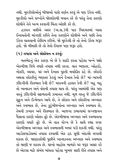નથી. મુશ્કીલોઓનું બીજાઓ પાસે વર્ણન કરવું એ પણ ઉકેલ નથી. મુશ્કીલો અને પ્રશ્નોને જોરશોરથી બયાન કરે છે પરંતુ તેના કારણો શોધીને તેને ખત્મ કરવાની ચિંતા ઓછી કરે છે.

હઝરત વલીએ અસ્ર (અ.સ.)ની પાક ખિદમતમાં ખાસ ઈનાયતોની માંગણી કરીને તેના કારણોને શોધીએ અને પછી તેના ઉકેલ લાવવાની કોશિષ કરીએ. જો મુશ્કેલી છે તો તેનો ઉકેલ જરૂર હશે. જો બીમારી છે તો તેનો ઈલાજ પણ જરૂર હશે.

#### (૧) તપાસ અને સંશોધન ન કરવુંઃ

મતભેદનું એક કારણ એ છે કે શાદી કરતા પહેલા બન્ને પક્ષો એકબીજા વિષે વધારે તપાસ નથી કરતા. વાત ભણતર, ઓહદો, નોકરી, આવક, ઘર અને દેખાવ પુરતી મર્યાદીત રહે છે. છોકરો અથવા છોકરીનું ભણતર કેટલું અને દેખાવ કેવો છે? માં-બાપની ઝીંદગીની રીતભાત કેવી છે? મકાનની હાલત કેવી છે? બહુ બહુ તો ખાનદાન અને વંશની તપાસ થાય છે. પરંતુ આમાંથી એક પણ વસ્તું ઝીંદગીની સફળતાની ઝમાનત નથી. મૂળ વસ્તુ જે ઝીંદગીને સુકૂન અને ઈત્મેનાન આપે છે, તે છોકરા અને છોકરીના અખ્લાક અને સ્વભાવ છે. તેના કુટુંબીજનોના અખ્લાક અને સ્વભાવ છે. તેમની ઝબાન અને રીતભાત છે. આજના ઝમાનામાં લગ્નજીવન પૈસાના કારણે ઓછા તૂટે છે. એકબીજાના અખ્લાક અને સ્વભાવના કારણો વધારે તૂટે છે. એ વાત યોગ્ય છે કે સાથે રહ્યા વગર એકબીજાના અખ્લાક અને સ્વભાવની ખબર પડી શકતી નથી. પરંતુ આડોસપાડોસમાં તપાસ કરવાથી એક હદ સુધી અંદાજો લગાવી શકાય છે. જાણકારોથી પૂછીને ખાનદાનના અખ્લાક અને સ્વભાવ તો જાણી જ શકાય છે. ઘરનો માહોલ બાળકો પર જરૂર અસર કરે છે એટલા માટે સંબંધ બાંધતા પહેલા ખુબજ સારી રીતે તપાસ અને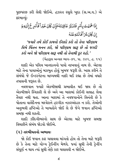પૂછપરછ કરી લેવી જોઈએ. હઝરત રસુલે ખુદા (સ.અ.વ.) એ કરમાવ્યં:

إِذَا هَمَهْتَ بِأَمْرِ فَتَلَبَّرُ عَاقِبَتَهُ فَإِنَّ كَانَ خَيْراً فَأَسْرِعُ إِلَيْهِ وَ إِنَّ كَانَ شَرَّ أَفَانُتَهِ عَنْهُ

'જ્યારે તમે કોઈ કામનો ઈરાદો કરો તો તેના પરિણામ વિષે ચિંતન મનન કરો, જો પરિણામ સારૂ છે તો જલ્દી કરો અને જો પરિણામ સારૂ નથી તો તેનાથી દૂર રહો.'

(બેહારૂલ અન્વાર ભાગ-૭૧, પા. ૩૪૨, હ. ૧૫)

શાદી એક પવિત્ર ખાનદાનનો પાયો નાખવાનં નામ છે. એટલા માટે તેના પાયાઓનું મઝબુત હોવું ખુબજ જરૂરી છે. ખાસ કરીને તે સંબંધો જે ઈન્ટરનેટના માધ્યમથી નક્કી થઈ રહ્યા છે તેમાં વધારે તપાસની જરૂરત છે.

નવજવાન જ્યારે એકબીજાથી પ્રભાવીત થઈ જાય છે તો એકબીજાને સ્વિકારી લે છે અને આ બારામાં કોઈની સલાહ લેવા તૈયાર નથી થતા. આના બારામાં તે નવજવાનોને વિનંતી છે કે પોતાના વાલેદૈનના મશ્વેરાને હરગીઝ નઝરઅંદાઝ ન કરો. તેઓની અનુભવી દ્રષ્ટિઓ તે બાબતોને જોઈ લે છે જેને જવાન દ્રષ્ટિઓ સમજી નથી શકતી.

શાદી ઝીંદગીભરનો સાથ છે એટલા માટે ખુબજ સમજી વિચારીને સંબંધ જોડવો જોઈએ

#### (૨) તરબીયતનો અભાવ<u>ઃ</u>

જો કોઈ જવાન કાર ચલાવવા માંગતો હોય તો તેના માટે જરૂરી છે કે તેના માટે યોગ્ય ટ્રેઈનીંગ મેળવે. જ્યાં સુધી તેની ટ્રેનીંગ સંપૂર્ણ ન થાય ત્યાં સુધી તેણે કાર ચલાવવી ન જોઈએ.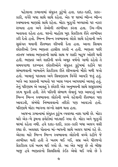પહેલાના ઝમાનામાં સંયુકત કુટુંબો હતા. દાદા-દાદી, કાકા-કાકી, વગેરે બધા સાથે સાથે રહેતા. એક જ ઘરમાં ભીન્ન ભીન્ન સ્વભાવના માણસો સાથે રહેતા. મોટા બુઝુર્ગો બચ્ચાઓ પર નઝર રાખતા હતા અને તેઓની તરબીયત કરતા હતા. ઉંચ-નીચ બતાવતા રહેતા હતા. ઘરનો માહોલ ખુદ પ્રેકટીકલ રીતે તરબીયત કરી દેતો હતો. ભિન્ન ભિન્ન સ્વભાવના લોકો સાથે રહેવાની અને સુસંગત થવાની રીતભાત શીખવી દેતા હતા. આના સિવાય છોકરીઓ ઉચ્ચ ભણતર હાસીલ કરતી ન હતી. ભણતર પછી તરતજ અથવા ભણતરની સાથો સાથ જ શાદી બહજ ઓછી થતી હતી. ભણતર અને શાદીની વચ્ચે અમૂક વર્ષનો ગાળો રહેતો તે સમયગાળા દરમ્યાન છોકરીઓને સંયુકત કુટુંબમાં રહીને ઘર સંભાળવાની બાબતોને પ્રેક્ટીકલ રીતે શીખવાનો મૌકો મળી જતો હતો. ખાવાનું પકાવતા અને સિવણકામ વિગેરે આવડી જતું હતું. બલ્કે આ પ્રકારની બાબતો પર ખાસ ધ્યાન આપવામાં આવતું હતું. તેનું પરિણામ એ આવતું કે છોકરી એક અનુભવની સાથે સસુરાલમાં કદમ મુકતી હતી. તેને પતિની સંભાળ લેવાનું પણ આવડતું અને ભિન્ન ભિન્ન સ્વભાવના લોકોની વચ્ચે રહેવાની રીતભાત પણ આવડતી, સંબંધો નિભાવવાનો તરીકો પણ આવડતો હતો. પરિણામે મોટા ભાગના લગ્નો સફળ થતા હતા.

આજના ઝમાનામાં સંયુકત કુટુંબ વ્યવસ્થા નાશ પામી છે. મોટા ઘરો એક-બે રૂમના ફલેટોમાં બદલાઈ ગયા છે. મોટા અને બુઝુર્ગો ઘરમાં રહેતા નથી. હવે દાદા-દાદી, કાકા-કાકી બધા અલગ વસી રહ્યા છે. અવલાદ પોતાના માં-બાપની સાથે અલગ ઘરમાં રહે છે. એટલા માટે ભિન્ન ભિન્ન સ્વભાવના લોકોની વચ્ચે રહીને જે તરબીયત થતી હતી તે ખતમ થઈ ગઈ, સબ્ર અને ધીરજનો પ્રેકટીકલ દર્સ ખતમ થઈ ગયો છે. આ એક બાજૂ છે તો બીજી બાજુ હવે ભણતરનો સિલસિલો કંઈક એવો થઈ ગયો છે કે

 $\tilde{\mathbf{z}}$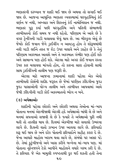ભણતરની દરમ્યાન જ શાદી થઈ જાય છે અથવા તો સગાઈ થઈ જાય છે. આજના આધુનિક ભણતર વ્યવસ્થામાં ઘરગૃહસ્થિનું કંઈ વર્ણન જ નથી, અખ્લાક અને શિસ્તનું કંઈ નામોનિશાન જ નથી. ભણતર પુરૂ કર્યા પછી ઘરગૃહસ્થિ અને પતિની સંભાળની તરબીયતનો કોઈ સમય જ નથી રહેતો. પરિણામ એ આવે છે કે વગર ટ્રેનીંગની ગાડી ચલાવવા જેવું થાય છે. આ બીલ્કુલ એવું છે જેમકે કોઈ જવાન જેને ડ્રાઈવીંગ ન આવડતુ હોય તે શોરૂમમાંથી નવી ગાડી લઈને તરત જ રોડ ઉપર ચલાવે અને ઝાહેર છે કે તેનું પરિણામ અકસ્માત આવશે અને તે અકસ્માત ગંભીર પણ હોઈ શકે અને સામાન્ય પણ હોઈ શકે. એટલા માટે અગર કોઈ જવાન રસ્તા ઉપર કાર ચલાવવા માંગતો હોય, તો કારના સારા હોવાની સાથો સાથ ડાઈવીંગની તાલીમ પણ જરૂરી છે.

એટલા માટે આજના ઝમાનામાં શાદી પહેલા એક એવો તરબીયતી કોર્સની શદીદ જરૂરત છે જેમાં પરણિત ઝીંદગીના જુદા જુદા પાસાઓની યોગ્ય તાલીમ અને તરબીયત આપવામાં આવે જેથી ઝીંદગીની ગાડી કોઈ અકસ્માતનો ભોગ ન બને

#### (૩) અપેક્ષાઓઃ

શાદીની પહેલા છોકરો અને છોકરી અથવા તેઓના માં-બાપ પોતાના મનમાં એકબીજાથી એટલી હદે અપેક્ષાઓ બાંધી લે છે અને મનમાં સપનાઓ સજાવી લે છે કે જ્યારે તે અપેક્ષાઓ પરી નથી થતી તો તકલીક થાય છે. દિલમાં એકબીજા માટે સવાલો ઉભરવા લાગે છે. દિલની વાતો ઝબાન ઉપર આવવા લાગે છે. કરિયાદો શરૂ થઈ જાય છે અને દરેક પોતાની ફરિયાદોને સહીહ કરાર દે છે. જેના આધારે માહોલ ખરાબ થવા લાગે છે. સંબંધો પર અસર પડે છે. તેમાં કુટુંબીજનો અને ખાસ કરીને બન્નેના માં-બાપ પણ. માં પોતાના નરેનજરને ટેકો આપીને માહોલને વધારે ગરમ કરી દે છે. તે ફરિયાદ જે એક મામુલી સ્પષ્ટતાથી દુર થઈ શકતી હતી તેના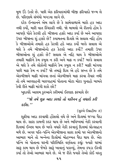મળ ઉંડે ઉતરે છે. પછી એક ફરિયાદમાંથી બીજી ફરિયાદો જન્મ લે છે. પરિણામે સંબંધો બગડવા લાગે છે.

દરેક ઈન્સાનને એમ લાગે છે કે સામેવાળાએ મારો હક અદા નથી કર્યો. મારી વાત સ્વિકારી નથી. જો મામલો એ રીતનો હોય કે આપણે પોતે કેટલી હદે બીજાના હક્કો અદા કર્યા છે અને આપણા ઉપર બીજાના શં હક્કો છે? કયામતના દિવસે એ સવાલ નહિ હોય કે બીજાઓએ તમારો હક કેટલી હદે અદા કર્યો બલ્કે સવાલ એ થશે કે તમે બીજાઓનો હક કેટલો અદા કર્યો? તમારી ઉપર બીજાઓના શં હક્કો છે? સવાલ એ નહિ થાય કે બીજાઓએ તમારી માફીને કેમ કબુલ ન કરી અને માફ ન કર્યા? બલ્કે સવાલ એ થશે કે તમે લોકોની માફીને કેમ કબુલ ન કરી? માફી માંગવા પછી માફ કેમ ન કર્યા? જો તમારૂં દિલ એ હદે સખ્ત છે કે તમે એકબીજાને માકી માંગવા છતાં એકબીજાને માક કરવા તૈયાર નથી તો તમે અલ્લાહની બારગાહમાં પોતાના મોટા મોટા ગુનાહો બાબતે કેવી રીતે માકી માંગી શકો છો?

ખુદાવંદે આલમ કુરઆને કરીમમાં ઈરશાદ ફરમાવે છે:

''જો તમે શુક્ર અદા કરશો તો યકીનન હું વધારો કરી દઈશ.''

(સુરએ ઈબ્રાહીમઃ ૭)

શક્રીયા અદા કરવાથી હોંસલો વધે છે અને દિલમાં જગ્યા પૈદા થાય છે. સારા કામની કદર થાય છે અને ભવિષ્યમાં નેકી કરવાની દિલમાં ઈચ્છા થાય છે બલ્કે વધારે નેકી કરવાનું દિલમાં પ્રોત્સાહન મળે છે. અગર પતિ-પત્નિ એકબીજાના સારા કામો પર એકબીજાનો આભાર માને તો બન્નેના દિલોમાં મોહબ્બત પૈદા થાય છે. એક પત્નિ એ પોતાના ઘરની પરિસ્થિતિ વર્ણવતા કહ્યું: જ્યારે ઘરમાં સારૂ કામ થાય છે જેમકે સારૂં ખાવાનું પકાવ્યું, તેમના કપડા ઈસ્ત્રી કર્યા તો તેઓ આભાર માને છે. એ જ રીતે જ્યારે તેઓ કોઈ વસ્તુ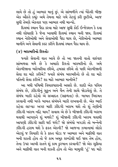લાવે છે તો હું આભાર માનું છું. એ સાંભળીને ત્યાં બેઠેલી બીજી એક ઔરતે કહ્યું: અમે તેમના માટે ગમે તેટલું કરી છુટીએ, આજ સુધી તેમણે એકવાર પણ આભાર નથી માન્યો.

દિલમાં સ્થાન પૈદા કરવા માટે આજ સુધી કોઈ ઈન્જેકશન કે દવા નથી શોધાણી કે જેના ખાવાથી દિલમાં સ્થાન બની જાય. દિલમાં સ્થાન નેકીઓથી અને સેવાઓથી પૈદા થાય છે. નેકીઓનો આભાર માનીને અને સેવાની કદર કરીને દિલમાં સ્થાન પૈદા થાય છે.

#### (૪) બરાબરીનો રિશ્તોઃ

જ્યારે સેવાની વાત આવે છે તો આ જાતની વાતો વારંવાર સાંભળવા મળે છે કે અમારો રિશ્તો બરાબરીનો છે. અમે એકબીજાના બરોબરીયા છીએ, હમસર છીએ તો પછી એકબીજાની સેવા શા માટે કરીએ? જ્યારે સંબંધ બરાબરીનો છે તો શા માટે પતિની સેવા કરીએ? શા માટે આભાર માનીએ?

આ બધી પશ્વિમી વિચારધારાની અસરો છે. શાદી એક પવિત્ર સંબંધ છે. ઝીંદગીનં સકન અને ચૈન તેની સાથે જોડાયેલં છે. તે સંબંધ બાકી રહેવો એ સઆદત (સફળતા) છે. બાબત ખિદમત કરવાની નથી બલ્કે બાબત સંબંધને બાકી રાખવાની છે. એક ભાઈ કહેવા લાગ્યાઃ અગર મારી ઝીંદગી ખરાબ થશે તો શં તેણીની ઝીંદગી ખરાબ નહિ થાય? સવાલ એ છે કે બીજાની ઝીંદગી ખરાબ થવાથી આપણને શું મળશે? શું બીજાની ઝીંદગી ખરાબ થવાથી આપણી ઝીંદગી સારી થઈ જશે? જો સંબંધો બગડશે તો બન્નેની ઝીંદગી હરામ થશે કે ફકત એકની? જો આજના ઝમાનામાં લોકો એટલું જ વિચારી લે કે ફકત થોડા જ આભાર અને માફીથી વાત બની શકતી હોય તો જે કામ અમક શબ્દોથી થઈ જાય તેમ હોય. તેના ઉપર આખી રાતને શું કામ કુરબાન કરવાની? જો એક શુક્રિયા અને માફીથી વાત બની શકતી હોય તો એક મામુલી 'હું' પદ માટે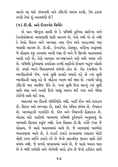વાતને શા માટે લંબાવવી અને ઝીંદગી ખરાબ કરવી, ઉંઘ હરામ કરવી તેમાં શું અકલમંદી છે?

#### (૫) ટી.વી. અને ઈન્ટરનેટ વિગેરે:

એ વાત બીલ્કુલ સાચી છે કે પશ્વિમી દુનિયા સાઈન્સ અને ટેકનોલોજીમાં આપણાથી ઘણી આગળ છે. તેનો અર્થ એ તો નથી કે તેઓ શિસ્ત અને અખ્લાક તથા દીન અને મઝહબમાં પણ બધાથી આગળ છે. ટી.વી., ઈન્ટરનેટ, ફેસબુક, વગેરેના સ્વરૂપમાં જે પ્રોગ્રામ રજ કરવામાં આવી રહ્યા છે અને જે ફિલ્મો બતાવવામાં આવી રહી છે. તેણે આપણા લગ્નજીવનને ઘણે અંશે અસર કરી છે. પશ્વિમી દુનિયામાં કાયદેસર રસ્મી શાદીનો રિવાજ બહુજ ઓછો છે. વધારે ભાગે મિત્રતાભર્યા સંબંધો હોય છે. એક કંપનીના બે ભાગીદારોની જેમ. જ્યાં સુધી ફાયદો મળતો રહે છે ત્યાં સુધી ભાગીદારી ચાલુ રહે છે નહિંતર ખતમ થઈ જાય છે. ત્યાંની ઘરેલું ઝીંદગી પણ આવીજ રીતે છે. જ્યાં સુધી દિલ માન્યું ત્યાં સુધી સાથે રહ્યા અને જ્યારે દિલે ચાહ્યું અલગ થઈ ગયા અને બીજા કોઈની સાથે થઈ ગયા.

ભારતમાં આ રીતની પરિસ્થિતિ નથી. અહીં દીન અને મઝહબ છે, શિસ્ત અને અખ્લાક છે, શાદી એક પવિત્ર સંબંધ છે, ઈબાદત છે, અલ્લાહની નઝદીકી છે, દીન અને ઈમાનની હિફાઝત છે. એટલા માટે શાદીની બાબતમાં પશ્વિમી દુનિયાને અનુસરવું એ બરબાદી સિવાય કશુંજ નથી. તેના સિવાય ટી.વી. વગેરે ઉપર જે પ્રોગ્રામ, જે વાતો બતાવવામાં આવે છે, જે આપસમાં મતભેદો બતાવવામાં આવે છે, તે લડાઈ ઝઘડો કરવાવાળા કલાકાર મોટી મોટી રકમ લઈને ઝઘડો કરે છે જેનો વાસ્તવિક જીવન સાથે કોઈ સંબંધ નથી. જે શબ્દો વાપરવામાં આવે છે. જે વાતો બયાન થાય છે તે બધી લખેલી અને ગોખેલી વાતો હોય છે જેનો હકીકત સાથે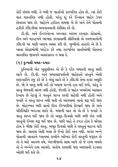કોઈ સંબંધ નથી. તે બધી જ વાર્તાઓ કાલ્પનિક હોય છે, ત્યાં કોઈ વાત વાસ્તવિક નથી હોતી. પરંતુ શું કરે ઈન્સાન જાહેર ઉપર છેતરાય જાય છે. જાહેરને હકીકત સમજી લે છે અને તેને પોતાની હકીકી ઝીંદગીમાં અપનાવવાની કોશિશ કરે છે.

ટી વી. અને ઈન્ટરનેટના અખ્લાક ખરાબ કરનારા પ્રોગ્રામો. દીન અને મઝહબને બરબાદ કરવાવાળી સીરીયલો એ નવજવાનોની ઝીંદગી પર ઘણી ખરાબ અસર કરી છે. બૃધ્ધીનો તકાઝો એ છે કે આવા પ્રોગ્રામોથી પરહેઝ કરે તથા કાલ્પનિક વાર્તાઓથી પોતાના વાસ્તવિક જીવનને અસરગ્રસ્ત ન થવા દે.

#### $(\xi)$  દુન્યવી ચમક-દમકઃ

દુનિયાની એક ખુસુસીયત એ છે કે દરેક ચમકતી વસ્તુ સારી લાગે છે. ટી.વી. અને સમાચારપત્રોની જાહેરાતો વસ્તુને એવી શણગારીને રજુ કરે છે કે એવું લાગે છે કે ઝીંદગી તેના વગર અધુરી છે. જો તે વસ્તુ મળી ગઈ તો બધાજ પ્રશ્નો હલ થઈ જશે, પરંતુ તે વસ્તુ મેળવવી સરળ નથી હોતી, જેટલી તે જાહેર ખબરોમાં આસાન દેખાય છે તેટલું તે વસ્તુને પ્રાપ્ત કરવી સહેલી નથી હોતી અને જ્યારે તે વસ્ત પ્રાપ્ત નથી થતી તો આપસમાં વાતો શરૂ થઈ જાય છે. મોહબ્બત ભરી વાતો ટીકા ટીપ્પણીમાં ફેરવાઈ જાય છે અને પરિસ્થિતિ બગડવા લાગે છે. મજાની વાત તો એ છે કે જ્યારે તે વસ્તુ પ્રાપ્ત થઈ જાય છે તો અમૂક દિવસો પછી વળી એક નવી વસ્તુની ઈચ્છા શરૂ થઈ જાય છે, પછી ચાહે તે કપડા હોય કે ઘરેણા હોય કે બીજી કોઈ વસ્તુ. અમૂક દિવસો પછી તે વસ્તુનું મહત્ત્વ ઘટી જાય છે. લાલચ એવી બલા છે જેનો કોઈ અંત નથી. અગર બન્ને પોતાની આવકને ધ્યાનમાં રાખીને ખરેખર કોઈ વસ્તુની જરૂરત છે તો તે માટે આગળ વધે, એકબીજાનો સાથ આપે તો જે રકમ બચશે તો તે બન્નેને કામ આવશે. સંતોષ કરવાથી પણ આપસની કડવાશ એ કાર તેથી બિાંહ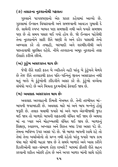#### (૭) તલાકના નુકશાનોથી ગફલતઃ

ગુસ્સાને પાગલપણાનો એક પ્રકાર કહેવામાં આવ્યો છે. ગુસ્સામાં ઈન્સાન વિચારવાની અને સમજવાની આવડત ગુમાવી દે છે. સામેની સ્પષ્ટ બાબત પણ સમજાતી નથી અને જ્યારે સમજાય પણ છે તો સમય પસાર થઈ ગયો હોય છે. જો ઈન્સાન પહેલેથી તેના નુકશાનોને સારી રીતે જાણી લે અને દરેક પાસાથી તેનો અભ્યાસ કરે તો તબાહી. બરબાદી અને શરમીંદગીથી અને પછતાવાથી સુરક્ષિત રહેશે. નીચે તલ્લાકના અમૂક નૂકશાનો તરફ ઈશારો કરીએ છીએ

#### (અ) કુટુંબ અસરગ્રસ્ત થાય છેઃ

જેવી રીતે શાદી ફકત બે વ્યકિતને નહી પરંતુ બે કુંટુંબને મેળવે છે તેજ રીતે તલ્લાકથી ફકત પતિ-પત્નિનું જીવન અસરગ્રસ્ત નથી થતું બલ્કે બે કુંટુંબોની ઝીંદગીને અસર કરે છે. કુંટુંબો વચ્ચેના સંબંધો બગડે છે અને મિત્રતા દુશ્મનીમાં ફેરવાઈ જાય છે.

#### (બ) અવલાદ અસરગ્રસ્ત થાય છેઃ

અવલાદ અલ્લાહની કિંમતી નેઅમત છે. તેની તરબીયત માં-બાપની જવાબદારી છે. અવલાદ માટે માં અને બાપ બન્નેનું હોવું જરૂરી છે. તલાક થવાથી જ્યારે માં અને બાપ એકબીજાથી જદા થઈ જાય તો બાળકો બાપની શકકતથી વંચિત થઈ જાય છે અથવા માં ના પ્યાર અને મોહબ્બતથી વંચિત થઈ જાય છે. બાળકનં શિક્ષણ. સ્વાસ્થ્ય. અખ્લાક અને શિસ્ત બધા ઉપર અસર પડે છે. તેમના ભવિષ્ય ઉપર અસર પડે છે. જો બાળક બાપની સાથે રહે તો તેમાં તેના ખર્ચાઓનો તો પ્રશ્ન નથી રહેતો પરંતુ જ્યારે બાપ કામ ધંધા માટે ઘરેથી બહાર જાય છે તે સમયે બાળકો અને ખાસ કરીને દિકરીઓની સાર-સંભાળ કોણ રાખશે? બાપમાં કીતરી રીતે સહન કરવાની શકિત ઓછી હોય છે અને અગર બાળક માંની સાથે રહેશે.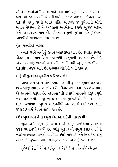તો તેના ખર્ચાઓની સાથે સાથે તેના વાલીપણાનો પ્રશ્ન ઉપસ્થિત થશે. માં ફકત ઘરની ચાર દિવારોની અંદર બાળકની દેખરેખ કરી શકે છે પરંત ઘરની બહાર નહિ. અવલાદ જે દનિયાની સૌથી મહાન નેઅમત છે તે આપસના મતભેદના કારણે ખબજ ખરાબ રીતે અસરગ્રસ્ત થાય છે. કિંમતી વસ્તુની સુરક્ષા માટે કુરબાની આપવીએ માનવતાની નિશાની છે.

#### (ક) માનસિક અસરઃ

તલાક પછી બન્નેનું જીવન અસરગ્રસ્ત થાય છે. કયારેક કયારેક એટલી અસર થાય છે કે દિલ બધી વસ્તુમાંથી ઉઠી જાય છે. કોઈ એક ઉપર પણ ભરોસો અને યકીન બાકી નથી રહેતું. દરેક ઈન્સાન શંકાશીલ નજર આવે છે. સ્વભાવ ચીડીયો બની જાય છે.

#### (ડ) બીજી શાદી મુશ્કીલ થઈ જાય છે:

આવા અસરગ્રસ્ત લોકો કયારેક એટલી હદે બદગુમાન થઈ જાય છે કે બીજી શાદી માટે કેમેય કરીને તૈયાર નથી થતા. જ્યારે કે શાદી એ જીવનની જરૂરત છે. મકાનના પડી જવાથી મકાનની જરૂરત પૂરી નથી થઈ જતી. પરંતુ બીજી શાદીમાં મુશ્કેલીઓ પૈદા થાય છે. શાદી કરવાવાળા ખુબજ સાવચેતીથી કામ લે છે અને દરેક વાતો ઉપર પ્રશ્નાર્થ ચિહન લાગી જાય છે.

## (ઈ) ખુદા અને તેના રસુલ (સ.અ.વ.)ની નારાજગીઃ

ખુદા અને રસૂલ (સ.અ.વ.) એ અમૂક સંજોગોમાં તલાકની જરૂર પરવાનગી આપી છે. પરંતુ ખુદા અને રસુલ (સ.અ.વ.)ની નઝરમાં હલાલ વસ્તુઓમાં સૌથી વધારે નાપસંદ અને તિરસ્કૃત વસ્તુ તલાક છે. હઝરત ઈમામ જઅફર સાદિક (અ.સ.) ફરમાવે છે:

ِ إِنَّ اللَّهَ عَزَّوَ جَلَّ ۚ يُجِبُّ الۡبَيۡتَ الَّذِيۡ فِيۡهِ الۡعُرۡسُ وُ يُبۡغِضُ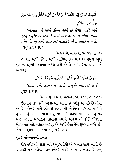# الْبَيۡدَ الَّذِىۡ فِيۡدِ الطَّلَاقُ ۚ وَ مَا مِنۡ شَىۡءِ ٱبۡغَضَ إِلَى اللَّهِ عَزَّوَ جَلَّ مِنَ الطَّلَاقِ

'અલ્લાહ તે ઘરને દોસ્ત રાખે છે જેમાં શાદી અને દલ્હન હોય છે અને તે ઘરને નાપસંદ કરે છે જેમાં તલાક હોય છે. ખુદાવંદે આલમની નઝદીક સૌથી વધારે નાપસંદ વસ્તુ તલાક છે.'

(અલ કાકી, ભાગ-૬, પા. ૫૪, *હ*, ૩)

હઝરત અલી ઈબ્ને અબી તાલિબ (અ.સ.) એ રસુલે ખુદા (સ.અ.વ.)થી રિવાયત નકલ કરી છે કે આપ (સ.અ.વ.) એ ફરમાવ્યું:

تَزَوَّ جُوۡاوَلا تُطَلِّقُوۡافَإِنَّ الطَّلَاقَ يَهۡنَّزُّ مِنۡهُۚ الۡعَزۡشُ

'શાદી કરો. તલાક ન આપો કારણકે તલાકથી અર્શ ધ્રજી જાય છે.'

(અવાલીયુલ આલી, ભાગ-૨, પા. ૧૩૯, હ. ૩૮૭)

ઈસ્લામે તલાકની પરવાનગી આપી છે પરંતુ એ પરિસ્થિતીમાં જ્યારે ખરેખર સાથે ઝીંદગી જીવવાની કોઈપણ શકયતા ન રહી હોય. નહિતર ફકત પોતાના હું-પદ માટે અથવા માં-બાપના હું પદ માટે અથવા સામાજીક હોદ્દાના કારણે અથવા તો કોઈ બીજાની મોહબ્બત માટે તલાક આપવું એ અર્શે ઈલાહીને ઘુજાવી નાખે છે, જેનું પરિણામ કયામતમાં સારૂ નહી આવે.

#### $(c)$  માં-બાપની દખલઃ

રોજબરોજની વાતો અને અનુભવોથી એ બાબત સામે આવી છે કે શાદી પછી છોકરા અને છોકરી વચ્ચે જે સંબંધ બગડે છે, તેનું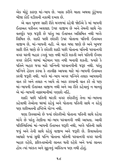એક મોટું કારણ માં-બાપ છે. ખાસ કરીને માતા અથવા કુંટુંબના બીજા કોઈ વડીલની નકામી દખલ છે.

એ વાત ખૂબજ સારી રીતે મગજમાં રહેવી જોઈએ કે માં બાપની ઈતાઅત યકીનન અવલાદ ઉપર વાજીબ છે અને તેમની સાથે નેક વતર્ણૂક પણ જરૂરી છે પરંતુ આ ઈતાઅત અસિમિત નથી બલ્કે સિમિત છે. શાદી પછી છોકરી ઉપર પોતાના પતિની ઈતાઅત વાજીબ છે, માં-બાપની નહી. એ વાત બધા જાણે છે અને ખુબજ સારી રીતે જાણે છે કે છોકરી શાદી પછી પોતાના પતિની પરવાનગી વગર ઘરની બહાર ડગલું પણ નથી માંડી શકતી અને પતિની ઈચ્છા વગર કોઈને ઘરમાં મહેમાન પણ નથી બનાવી શકતી. જ્યારે કે પતિને બહાર જવા માટે પત્નિની પરવાનગીની જરૂર નથી. પરંત પત્નિને હેરાન કરવા કે તકલીફ આપવા માટે માં-બાપની ઈતાઅત કરવી જરૂરી નથી. બલ્કે માં-બાપ અગર પત્નિને તલાક આપવાની વાત કરે અને તલાક ન આપે તો આક કરવાની વાત કરે તો પણ માં-બાપની ઈતાઅત વાજીબ નથી અને આ રીતે કહેવાનું ન માનવું એ માં-બાપની નાકરમાનીમાં ગણાશે નહિં.

શાદી પછી પતિની મરઝી વગર છોકરીનું તેના માં-બાપના કહેવાથી તેઓના ઘરમાં રહેવું અને પોતાના પતિની સાથે ન રહેવું પણ શરીઅતની દ્રષ્ટિએ યોગ્ય નથી.

ઘણા કિસ્સાઓ છે જ્યાં છોકરીઓ પોતાના પતિની સાથે રહેવા માંગે છે પરંતુ તેણીના માં-બાપ પરવાનગી નથી આપતા. આવી પરિસ્થિતિમાં માં-બાપની ઈતાઅત જરૂરી નથી. બલ્કે પતિની સાથે જવું અને તેની સાથે રહેવું વાજીબ અને જરૂરી છે. રિવાયતોના આધારે જ્યાં સુધી પત્નિ પોતાના પતિની પરવાનગી વગર ઘરની બહાર રહેશે, ફરિશ્તાઓની લાનત થતી રહેશે અને જ્યાં લાનત હોય ત્યાં બરકત અને સૂકુનનું અસ્તિત્વ પણ નથી હોતું.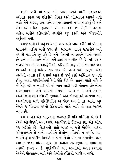શાદી પછી માં-બાપ અને ખાસ કરીને માંની જવાબદારી ફરીયાદ કરવા પર છોકરીને હિંમત અને પ્રોત્સાહન આપવં નથી બલ્કે તેને ધીરજ, સબ્ર અને સહનશીલતાની નસીહત કરવું છે અને સેવા કરીને દિલ જીતવાની રીત બતાવવી છે. તેણીની તરફથી વકીલ બનીને ફરિયાદોને વધારીને રજ કરવી અને બીજાઓને વાર્ગવવી નથી.

આજે બની એ રહ્યું છે કે માં-બાપ અને ખાસ કરીને માં પોતાના સંતાનનો વકીલ બની જાય છે. સામાન્ય વાતને સજાવીને અને વધારી ચડાવીને રજ કરે છે અને પોતાની અવલાદને સાચી ગણાવે છે અને સામેવાળાને ખોટા અને ઝાલીમ સાબીત કરે છે. પરિસ્થિતિ બગડી જાય છે. ગલતફહેમીઓ. ફરિયાદો તોહમતોમાં બદલાઈ જાય છે અને વાતનં વતેસર થઈ જાય છે. બન્ને પક્ષો તરકથી એવી વાતોનો વધારો કરી દેવામાં આવે છે જેનું કોઈ અસ્તિત્વ જ નથી હોતું. આવી પરિસ્થિતિમાં કેવી રીતે કોઈ એ વાતની માફી માંગે કે જે તેણે કરી જ નથી? જો માં-બાપ શાદી પછી પોતાના સંતાનોના લગ્નજીવનમાં અને આપસી સંબંધમાં દખલ ન દે અને તેઓને એકબીજાની સાથે ઝીંદગી જીવવાનો અને એકબીજાને સમજવા અને એકબીજાની સાથે પરિસ્થિતિને એડજેસ્ટ થવાની તક આપે. ખદ તેમને જ પોતાના પ્રશ્નો ઉકેલવાનો મૌકો આપે તો વાત આગળ નહી વધે.

આ બાબતે એક મહત્ત્વની જવાબદારી પતિ પત્નિની એ છે કે તેઓ એકબીજાને માન આપે, એકબીજાની ઈઝઝત કરે, એક બીજા પર ભરોસો કરે. બેડરૂમની વાતો બહાર ન થવી જોઈએ. તાકમાં રહેવાવાળાને તે વાતો વર્ણવીને તેઓના હોંસલો ન વધારે. માં-બાપને હાથ જોડીને વિનંતિ છે કે જો તેઓ પોતાના સંતાનોના ઘરને આબાદ જોવા માંગતા હોય તો તેઓના લગ્નજીવનના મામલામાં નકામી દખલ ન દે, મુશ્કેલીઓ અને સખ્તીઓ સહન કરવામાં તેઓને પ્રોત્સાહન આપે અને તેઓનો હોંસલો ભાંગી ન નાખે.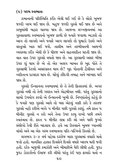$(e)$  ગરમ સ્વભાવઃ

ઝમાનાની પરિસ્થિતિ કઈંક એવી થઈ ગઈ છે કે લોકો ખબજ જલ્દી ગરમ થઈ જાય છે. બહુજ જલ્દી ગુસ્સે થઈ જાય છે અને કાબુમાંથી બહાર ચાલ્યા જાય છે. આજના લગ્નજીવનમાં આ ગુસ્સાવાળા સ્વભાવનો ખુબજ ફાળો છે જ્યારે જવાળા ભડકશે તો આગ તો લાગશે અને જ્યારે આગ લાગશે તો ધુમાડો ઉઠશે અને વસ્તુઓ ખાક થઈ જશે. તાલીમ અને તરબીયતની આજની વ્યવસ્થા કઈંક એવી છે કે ધીરજ અને સહનશકિત ઘટતી જાય છે. વાત વાત ઉપર ગુસ્સો વધતો જાય છે. આ ગુસ્સાની અસર બીજા ઉપર શું થાય છે એ તો એક અલગ બાબત છે ખુદ પોતે તે ગુસ્સાથી કેટલો અસરગ્રસ્ત થાય છે? ખુદ પોતાની હૈસીયત અને વ્યકિતત્વ દાગદાર થાય છે. ઘરેલું ઝીંદગી તબાહ અને બરબાદ થઈ જાય છે

ગુસ્સો ઈન્સાનના સ્વભાવમાં છે તે તેની ફિતરતમાં છે. અગર ગુસ્સો નથી તો તેની ગયરત અને એહમીયત નથી. પરંતુ ગુસ્સાનો સાચો ઉપયોગ કરવો એ ઈન્સાનની ખુબી છે. નિષ્ણાંતોનું કહેવું છે કે જ્યારે પણ ગુસ્સો આવે તો બસ એટલું નક્કી કરો કે તરતજ ગુસ્સો નહી કરીએ બલ્કે ૫ મીનીટ પછી ગુસ્સો કરશું. તમે ફકત પ મીનીટ ગુસ્સો ન કરો અને તેના ઉપર કાબુ રાખો પછી તમને સ્વતંત્રતા છે. ફકત ૫ મીનીટ સબ્ર કરી લો અને પછી જુઓ સંજોગો કેવી રીતે બદલાય છે. હવે આ કિસ્સાને ખુબજ ધ્યાનથી વાંચો અને આ એક ગરમ સ્વભાવના પતિ-પત્નિનો કિસ્સો છે.

લગભગ ૩-૪ વર્ષ પહેલા દરરોજ મારા ગુસ્સામાં વધારો થતો જતો હતો. માનસિક હાલત દિવસેને દિવસે વધારે ખરાબ થતી જતી. હતી. દરેક બાજુથી કમઝોરી અને બીમારીએ ઘેરી લીધી હતી. જુદા જુદા ડોકટરોનો ઈલાજ કરી લીધો પરંતુ કંઈ પણ ફાયદો થતો ન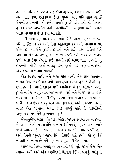હતો. માનસિક ડોકટરોને પણ દેખાડયુ પરંતુ કંઈજ અસર ન થઈ. વાત વાત ઉપર છોકરાઓ ઉપર ગુસ્સો અને પતિ સાથે લડાઈ રોજનો ક્રમ બની ગયો હતો. જ્યારે ગુસ્સો ઠંડો થતો તો પોતાની હાલત ઉપર અફસોસ થતો. શરમીંદગીનો અનુભવ થતો. પ્યારા પ્યારા બચ્ચાઓ ઉપર દયા આવતી.

મારી માતા પણ વારંવાર સમજાવે છે કે આટલો ગુસ્સો ન કર. પતિની ઈઝઝત કર અને તેનો એહતેરામ કર અને બચ્ચાઓ પર રહેમ કર. આ રીતે ગુસ્સો કરવાથી અને રાડો પાડવાથી કેવી રીતે કામ ચાલશે? ઘર તબાહ અને બરબાદ થઈ જશે. બચ્ચાઓ બગડી જશે. મારા ઉપર તેમની કોઈ વાતની કોઈ અસર થતી ન હતી. હં ઈચ્છતી હતી કે ગુસ્સો ન કરૂં પરંતુ ગુસ્સો મારા કાબુમાં ન હતો. એક દિવસનો બનાવ સાંભળો.

એક દિવસ મારી અને મારા પતિ વચ્ચે એક સાવ સામાન્ય બાબત ઉપર ઝઘડો થઈ ગયો. વાત કકત એટલી હતી કે તેઓ કહી રહ્યા હતા કે 'ચાલો દાદીને મળી આવીએ' મે કહ્યું બીલકલ નહી. હું તો નહીજ આવું. વાત આગળ વધી ગઈ અને મે ચપ્પલ ઉપાડીને બચ્ચાના માથા ઉપર મારી દીધું. ચપ્પલ તેના માથા ઉપર ન વાગતા બારીના કાચ ઉપર વાગ્યું અને કાચ તૂટી ગયો અને તે ચપ્પલ ઘરની બહાર એક શખ્સના માથા ઉપર વાગ્યું પછી જે શરમીંદગી અનુભવવી પડી તેને શું બયાન કરૂં!!

જોગાન્જોગ મારા પતિ પણ ઓછા ખરાબ સ્વભાવના ન હતા. જે સમયે તેઓ બચ્ચાઓને ઘરકામ (હોમવર્ક) પુછતા હતા ત્યારે જાણે કયામત ઉભી થઈ જતી અને બચ્ચાઓને માર પડતી હતી અને તેમની ખુબજ ખરાબ રીતે ધોલાઈ થતી હતી. જો હું કંઈ બોલતી તો ખીજાઈને મને પણ ત્યાંથી દૂર કરી દેતા હતા.

આજ માહોલમાં અમારૂં જીવન વીતી રહ્યું હતું. ઘરમાં રોજ એક કયામત થતી અને અંતે શરમીંદગી સિવાય કંઈ ન મળતું. પરંતુ તે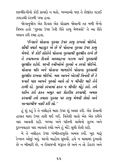શરમીંદગીનો કોઈ કાયદો ન થતો. બચ્ચાઓ પણ તે રોજીંદા લડાઈ ઝઘડાથી કંટાળી ગયા હતા.

જોગાનજોગ એક દિવસ એક પ્રોગ્રામ જોવાની તક મળી જેનો વિષય હતો 'ગુસ્સા ઉપર કેવી રીતે કાબૂ મેળવવો' તે આ રીતે બયાન કરી રહ્યા હતા.

'ઈન્સાને પોતાના ગુસ્સા ઉપર કાબુ રાખવો જોઈએ. સૌથી વધારે બહાદુર એ છે જે પોતાના ગુસ્સા ઉપર કાબુ મેળવે. જે કોઈ લોકોને પોતાના ગુસ્સાથી સુરક્ષીત રાખે છે તે કયામતના દિવસે અલ્લાહના ગઝબ અને ગુસ્સાથી સુરક્ષીત રહેશે. ઘરની સ્ત્રીઓએ ગુસ્સો ન કરવો જોઈએ. પોતાના પતિ અને પોતાના બાળકોને પોતાના ગુસ્સાથી સુરક્ષીત રાખવા જોઈએ. બસ આપને એટલી વિનંતી છે કે જ્યારે પણ આપને ગુસ્સો આવે તો ૫ મીનીટ માટે તેને ટાળી દો. ગુસ્સો કરવામાં ફકત ૫ મીનીટ મોડું કરો. તમે યકીન કરો ફકત અમૂક વાર પ્રેકટીસ કરવાથી, અમલ કરવાથી તમે તમારા ગુસ્સા પર કાબુ મેળવી લેશો અને અત્યારથીજ નક્કી કરી લો.'

હું શું કહું કે તે નસીહતે મારા ઉપર શું અસર કરી. એક રોવાની હાલત મારા ઉપર તારી થઈ ગઈ. વિતેલી વાતો એક એક કરીને યાદ આવતી રહી. બચ્ચા અને પતિની સાથેનો ઝુલ્મ અને દુરવ્યવહાર યાદ આવતો રહ્યો અને હું મોડે સુધી રોતી રહી.

મે તે નસીહત ઉપર ગંભીરતાપૂર્વક અમલ કર્યો. ખુદ મારૂં ટેન્શન ઓછું થયું. ઘરનો માહોલ સુધર્યો. હવે ન માથામાં દુખાવો છે ન બીમારી છે. ન ઈલાજની જરૂરત છે અને ન તો ડોકટર અને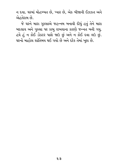ન દવા. ઘરમાં મોહબ્બત છે, પ્યાર છે, એક બીજાની ઈઝઝત અને એહતેરામ છે.

જે ઘરને મારા ગુસ્સાએ જહન્નમ બનાવી દીધું હતું તેને મારા બદલાવ અને ગુસ્સા પર કાબુ રાખવાના કારણે જન્નત બની ગયુ. હવે હું ન કોઈ ડોકટર પાસે જાઉ છું અને ન કોઈ દવા લઉ છું. ઘરનો માહોલ શાંતિમય થઈ ગયો છે અને દરેક તેમાં ખુશ છે.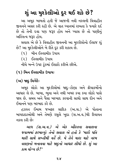# શું આ મુશ્કેલીઓ દૂર થઈ શકે છે?

આ અમુક બાબતો હતી જે આજની નવી નસ્લની વિવાહીત જીવનને અસર કરી રહી છે. એ વાત ધ્યાનમાં રાખતા કે જ્યારે દર્દ છે તો તેની દવા પણ જરૂર હોય અને પ્યાસ છે તો પાણીનં અસ્તિત્વ જરૂર હોય.

સવાલ એ છે કે વિવાહીત જીવનની આ મુશ્કીલોનો ઈલાજ શું છે? આ મુશ્કેલીઓને બે રીતે દૂર કરી શકાય છે.

(૧) બીન ઈસ્લામીક ઉપાય

(૨) ઈસ્લામીક ઉપાય

નીચે બન્ને ઉપર ટૂંકમાં ઈશારો કરીએ છીએ.

(૧) બિન ઈસ્લામીક ઉપાયઃ

(અ) જાદુ વિગેરેઃ

અમૂક લોકો આ મુશ્કીલોમાં જાદ્દ-ટોણા અને ક્રીયાકર્મોનો આધાર લે છે. બાબા, ભૂવા અને નથી ખબર કયા કયા લોકો પાસે જાય છે. સમય અને પૈસા બરબાદ કરવાની સાથો સાથ દીન અને ઈમાનને પણ બરબાદ કરે છે.

હઝરત ઈમામ જઅફર સાદિક (અ.સ.) એ પોતાના બાપદાદાઓથી અને તેમણે રસુલે ખુદા (સ.અ.વ.)થી રિવાયત નકલ કરી છે:

આપ (સ.અ.વ.) એ એક ઔરતના સવાલના જવાબમાં ફરમાવ્યું: તેનો સવાલ એ હતો કે 'મારો પતિ મારી સાથે સખ્તીથી વર્તે છે. મે તેને મારા માટે નરમ વલણનો બનાવવા માટે જાદૃનો આધાર લીધો છે. શું આ કામ યોગ્ય છે?'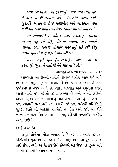આપ (સ.અ.વ.) એ ફરમાવ્યું: 'વાય થાય તારા પર. તે તારા કામથી ઝમીન અને દરીયાઓને ખરાબ કર્યા. ખદાવંદે આલમના શ્રેષ્ઠ મલાએકા અને આસમાન તથા ઝમીનના કરીશ્તાઓ તારા ઉપર લાનત મોકલી રહ્યા છે.'

આ સાંભળીને તે ઔરતે રોઝા રાખવાનું, નમાઝો પઢવાનું શરૂ કરી દીધું, પોતાના માથાના વાળ કપાવી નાખ્યા, જાડો બરછટ લીબાસ પહેરવાનું શરૂં કરી દીધું (જેથી ખુદા તેના ગુનાહોને માફ કરી દે).

જ્યારે રસુલે ખુદા (સ.અ.વ.)ને ખબર મળી તો ફરમાવ્યું: 'ખુદા તે વાતોથી તેને માફ નહી કરે.'

(વસાએલશ્શીયા, ભાગ-૨૦, પા. ૨૪૭)

આજકાલ આ રીતની વાતોનો રીવાજ ઘણોજ આમ થઈ ગયો છે. લોકો જાદ-ટોણાનો આધાર લે છે. જગ્યાએ જગ્યાએ તેની જાહેરખબરો નજર આવે છે. લોકો અલ્લાહ અને રસુલના બદલે આવી વાતો પર ભરોસો કરવા લાગ્યા છે અને આખી ઝીંદગી દોડતા રહે છે અને ઝીંદગીના હાલાત ખરાબ કરતા રહે છે. ઈસ્લામે જાદૃ-ટોણાની પરવાનગી નથી આપી. જો જાદૃ વગેરેથી પરિસ્થિતિ સુધરી શકતે તો આટલા મતભેદો ન હોત અને ઘરો આ રીતે બરબાદ ન થતા હોત એટલા માટે જાદુ વગેરેથી સખ્તાઈથી પરહેઝ કરવી જોઈએ

#### (બ) સખ્તાઈઃ

અમૂક લોકોના ખોટા ખયાલ છે કે ઘરમાં સખ્તાઈ કરવાથી પરિસ્થિતિ સુધરે છે. આ ફકત એક ભ્રમણા છે. તેનો હકીકત સાથે કોઈ સંબંધ નથી. એ સિવાય દીને ઈસ્લામે એકબીજા પર ઝુલ્મ અને સખ્તી કરવાની પરવાનગી નથી આપી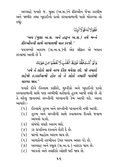અલ્લાહે જ્યારે જ. મુસા (અ.સ.)ને ફીરઔન જેવા ઝાલીમ અને જાબીર તથા ખુદાઈનો દાવો કરવાવાળાની પાસે મોકલ્યા તો કહ્યું:

فَقُوْلَالَهُ قَوْلًالَيِّئًا

'અય (મુસા અ.સ. અને હારૂન અ.સ.) તમે બન્ને કીરઔનની સાથે નરમાશથી વાત કરજો.'

પયગમ્બરે અકરમ (સ.અ.વ.)ની એક સીફત એ બયાન  $\frac{1}{2}$ કરવામાં આવી છે કે

وَلَوۡ كُنۡتَ فَظًّا غَلِيۡظَ الۡقَلۡبِ لَا نُفَضُّوۡامِنۡ حَوۡلِكَ

'તમે તે લોકો સાથે નરમ દીલ થયેલા છો. જો તમારો લહેજો કડકાઈવાળો હોત તો તે લોકો તમારી પાસેથી ચાલ્યા જાત.'

જ્યારે દીને ઈસ્લામ કાફીરો. મશ્રીકો અને ખદાઈનો દાવો કરવાવાળાની સાથે પણ નરમીથી વર્તવાનો હુકમ આપી રહ્યો છે તો તે ઘરેલ જીવનમાં સખ્તીની પરવાનગી કેમ આપી શકે. આના આધારે:–

- (૧) ઈસ્લામે ઝુલ્મ અને સખ્તીની પરવાનગી નથી આપી.
- (૨) ઝુલ્મ અને સખ્તીની સામે કયામતના દિવસે જવાબ આપવો પડશે.
- (૩) સંબંધો વધારે ખરાબ થશે.
- (૪) ડર પ્રગતિના રસ્તાને રોકી દે છે.
- (૫) ઘરનો માહોલ ખરાબ થાય છે.
- $($  s) બાળકોની તરબીયત ઉપર ખરાબ અસર પડે છે.
- (૭) અલ્લાહ અને રસુલ (સ.અ.વ.) નારાઝ થાય છે.
- (૮) બરકતો અને તવકીકો ઓછી થઈ જાય છે.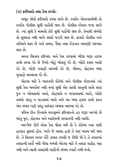#### (ક) ફરીયાદો તથા કેસ કરવોઃ

અમક લોકો ફરીયાદો કરવા લાગે છે. કયારેક પોતાનાઓથી તો કયારેક પોલીસ સુધી પહોંચી જાય છે. પોલીસ સ્ટેશન જવા લાગે છે. ત્યાં સુધી કે મામલો કોર્ટ સુધી પહોંચી જાય છે. તેનાથી સંબંધો તો સધરતા નથી બલ્કે વધારે બગડી જાય છે. ફાયદો પોલીસ અને વકીલને થાય છે અને સમય. પૈસા તથા ઈઝઝત આપણી બરબાદ થાય છે.

આના સિવાય કરિયાદ અને કેસ કરવામાં બીજા ઘણા હરામ કામો કરવા પડે છે જેમકે ખોટું બોલવું પડે છે, ખોટી કસમ ખાવી પડે છે. ખોટી ગવાહી આપવી પડે છે. ગીબત, તોહમત બધા ગુનાહો આચરવા પડે છે.

એટલા માટે કે ભારતની કોર્ટમાં અને પોલીસ સ્ટેશનમાં ત્યાં સુધી કેસ બનતોજ નથી જ્યાં સુધી એક સાચી વસ્તુની સાથે ઘણા જઠ ન બોલવામાં આવે. તોહમતો ન લગાવવામાં આવે. ખોટી કલમો લાગુ ન પાડવામાં આવે અને આ બધા હરામ કામો ફકત એક વખત નહી પરંતુ વારંવાર અંજામ આપવા પડે છે.

પવિત્ર દીન ઈસ્લામે મઝલમને ફરિયાદનો હક જરૂર આપ્યો છે પરંતુ જુઠ, તોહમત અને આરોપની પરવાનગી નથી આપી.

ભાગ્યેજ કોઈ એવા કેસ જોવા મળે છે કે કોર્ટમાં ગયા પછી હાલાત સુધર્યા હોય. બલ્કે જે આશા હતી તે પણ ખતમ થઈ જાય છે. તે સિવાય અગર કોર્ટે તલાક કરાવી જ દીધી જો કે તે તલાકમાં તલાકની શર્તો નથી જોવા મળતી એટલા માટે તે તલાક સહીહ પણ નથી અને આવી તલાકથી શાદીનો સંબધ કપાઈ નથી જતો.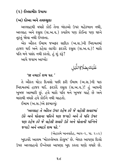(૨) ઈસ્લામીક ઉપાયઃ

#### (અ) દોઆ અને તવસ્સલઃ

અલ્લાહથી વધારે કોઈ તેના બંદાઓ ઉપર મહેરબાન નથી. અલ્લાહ અને રસૂલ (સ.અ.વ.) કયારેય પણ કોઈના પણ ઘરને તૂટતું જોવા નથી ઈચ્છતા.

એક ઔરત ઈમામ જઅફર સાદિક (અ.સ.)ની ખિદમતમાં હાજર થઈ અને કહેવા લાગીઃ ફરઝંદે રસુલ (સ.અ.વ.)! મારો પતિ મને પસંદ નથી કરતો, હું શું કરૂં?

આપે જવાબ આપ્યો:

عَلَيۡكَ<sub>لِ</sub>صَلَاةِاللَّيۡلِ

 $'$ જા નમાઝે શબ પઢ.'

તે ઔરત થોડા દિવસો પછી ફરી ઈમામ (અ.સ.)ની પાક ખિદમતમાં હાજર થઈ. ફરઝંદે રસુલ (સ.અ.વ.)! હું આપની ખુબજ આભારી છું. હવે મારો પતિ મને ખુબજ ચાહે છે અને મારાથી વધારે હવે કોઈને નથી ચાહતો.

ઈમામ (અ.સ.)એ ફરમાવ્યં:

'અલ્લાહ તે ઔરત ઉપર રહેમ કરે જે વહેલી સવારમાં ઉઠે અને પોતાના પતિને પણ જગાડે અને તે પતિ ઉપર પણ રહેમ કરે જે વહેલી સવારે ઉઠે અને પોતાની પત્નિને જગાડે અને નમાઝે શબ પઢે.'

(એહકામે ખાનવાદેહ, ભાગ-૨, પા. ૨૦૯) ખુદાવંદે આલમ 'મોકલ્લેબલ કોલુબ' છે. બેશક આપણા દિલો ઉપર અલ્લાહનો ઈખ્તેયાર આપણા ખુદ કરતા ઘણો વધારે છે.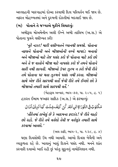અલ્લાહની બારગાહમાં દોઆ કરવાથી દિલ પરિવર્તન થઈ જાય છે. નફરત મોહબ્બતમાં અને દશ્મની દોસ્તીમાં બદલાઈ જાય છે.

## (બ) પોતાને તે જગ્યાએ મુકીને વિચારવું:

અમીરૂલ મોઅમેનીન અલી ઈબ્ને અબી તાલિબ (અ.સ.) એ પોતાના પત્રને વસીય્યત કરી:

'નૂરે નઝર! મારી વસીય્યતને ધ્યાનથી સમજો. પોતાના નકસને પોતાની અને બીજાઓની વચ્ચે માપદંડ બનાવો અને બીજાઓ માટે તેજ પસંદ કરો જે પોતાના માટે કરો છો અને તે જ વાતોને બીજા માટે નાપસંદ કરો જે તમને પોતાને સારી નથી લાગતી. બીજાઓ ઉપર ઝૂલ્મ ન કરો જેવી રીતે તમે પોતાના પર થતા ઝુલ્મને પસંદ નથી કરતા. બીજાઓ સાથે એજ રીતે સારપથી વર્તો જેવી રીતે તમે ઈચ્છો છો કે બીજાઓ તમારી સાથે સારપથી વર્તે.'

(બેહા3લ અન્વાર, ભાગ-૭૭, પા. ૨૦૫, હુ. ૧) હઝરત ઈમામ જઅફર સાદિક (અ.સ.) એ ફરમાવ્યું:

مَكَنُوۡبُ فِى التَّوۡرَاةِابۡنِ ٰاٰدَمَر کُنۡ كَيۡفَ شِئۡتَ كَمَاٰ تَٰٓلِيۡنُ تُٰٓلَاانُ

'તૌરેતમાં લખેલં છે કે આદમના કરઝંદ! જે રીતે ચાહો છો રહો. જે રીતે તમે વર્તશો તેવી જ વર્તણુંક તમારી સાથે કરવામાં આવશે.'

(અલ કાફી, ભાગ-૨, પા. ૧૩૮, હ. ૪)

ઘણા દિવસોથી ઉંઘ નથી આવતી. આખો દિવસ બેચૈની અને વ્યાકુળતા રહે છે. ખાવાનું ખાવું દિલને પસંદ નથી. મનને શાંત કરનારી દવાઓ ખાઈ રહી છું પરંતુ સુકુનનું નામોનિશાન નથી.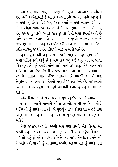આ બધું મારી સાસુના કારણે છે. ખુબજ બદઅખ્લાક ઔરત છે. તેની અપેક્ષાઓ!!! બાપરે અલ્લાહની પનાહ. નથી ખબર કે મારાથી શું ઈચ્છે છે! બધુ કરવા છતાં મારાથી નારાજ રહે છે. મેણા-ટોણા સંભળાવ્યા કરે છે. તેણે મારા જીવનમાં ઝેર નાખી દીધું છે. જ્યારે હું ઘરની બહાર જાવ છું તો તેણી મારા રૂમમાં આવે છે અને કબાટની તલાશી લે છે. હું બધી વસ્તુઓ બરાબર ગોઠવીને જાવ છું તો તેણી બધુ વેરવીખેર કરી નાખે છે. દર વખતે કંઈકને કંઈક લાગેલું જ રહે છે. ઝીંદગી અઝાબ બની ગઈ છે.

હવે સહન નથી થતું. સબ્ર કરવાની પણ એક હદ હોય છે! મે મારા પતિને કહી દીધું છે કે બસ હવે બહું થઈ ગયું. હવે બે માંથી એક ચુંટી લો. હું તમારી માંની સાથે નહી રહી શકું. એક અલગ ઘર લઈ લો. આ રોજ રોજની રકજક સારી નથી લાગતી. અથવા તો તમારી માતાને તમારા બીજા ભાઈના ઘરે મોકલી દો. તે પણ તેણીનીજ અવલાદ છે. તેમનો પણ કંઈક હક બને છે. મહેરબાની કરીને મારા પર રહેમ કરો. હવે આનાથી વધારે હું સહન નથી કરી શકતી.

એક દિવસ મારો ૧૨ વર્ષનો પુત્ર સ્કુલેથી પાછો આવ્યો તો મારા ગળામાં બાહોં નાખીને કહેવા લાગ્યો. મમ્મી જ્યારે હું મોટો થઈશ તો હું શાદી નહી કરૂં. મે પુછયું વ્હાલા દીકરા શા માટે? તેણે કહ્યું: ના મમ્મી હું શાદી નહી કરૂં. મે પુછયું: મારા લાલ પણ શા માટે?

તેણે જવાબ આપ્યોઃ મમ્મી મારે પણ તમને એક દિવસ આ ઘરથી બહાર કાઢવા પડશે. જો તેણી તમારી સાથે રહેવા તૈયાર ન થઈ તો મારૂં શું થશે? શકય છે કે તે આવનારી એક દિવસ મને કહે કે પસંદ કરો યા તો હું યા તમારા મમ્મી. એટલા માટે હું શાદી નહી  $\dot{\mathfrak{s}}\dot{\mathfrak{z}}.$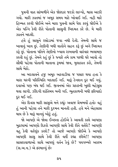પત્રની વાત સાંભળીને એક જોરદાર જટકો લાગ્યો. શ્વાસ અટકી ગયો. મારી ઝાતમાં જ અમક સમય માટે ખોવાઈ ગઈ. નહી મારે હિમ્મત કરવી જોઈએ અને મારા પત્રની સામે પેશ કરવં જોઈએ કે એક પત્નિ કેવી રીતે પોતાની સાસની ખિદમત કરે છે. મે મારી ઝાતને બદલી.

હવે હું સાસુને રસોડામાં જવા નથી દેતી. તેમની સાથે જ ખાવાનું ખાવ છું. તેણીની બધી વાતોને સહન કરૂં છું અને ખિદમત કરૂં છું. પોતાના પતિને તેણીનો ખ્યાલ રાખવાની વારંવાર ભલામણ કરતી રહું છું. તેમને કહું છું કે જ્યારે તમે કામ પરથી ઘરે આવો તો સૌથી પહેલા પોતાની માતાના રૂમમાં જાવ, મુલાકાત કરો, તેમની સાથે બેઠો.

આ બદલાવને હજુ અમૂક અઠવાડીયા જ પસાર થયા હતા કે મારા ઘરની પરિસ્થિતિ બદલાઈ ગઈ. મારૂં ટેનશન દૂર થઈ ગયું. દવાઓ પણ બંધ થઈ ગઈ. જીવનમાં એક પ્રકારની ખુશી મહેસુસ થવા લાગી. ઝીંદગી શાંતિમય બની ગઈ. ભુતકાળની બધી ફરિયાદો દૂર થઈ ગઈ.

એક દિવસ મારી સાસુએ મને કહ્યું: અવાજ પ્રેમભર્યો હતો: વહું હું આની પહેલા તને મારી દૃશ્મન માનતી હતી. હવે મને એહસાસ થાય છે કે મારૂં માનવું ખોટું હતું.

જો આપણે એ જોવા ઈચ્છતા હોઈએ કે આવતી કાલે આપણા બઢાપામાં આપણો દિકરો આપણી સાથે કેવી રીતે વર્તશે? આપણી વહ કેવી વર્તણુંક કરશે? તો આજે આપણે જોઈએ કે આપણે આપણી સાસૂ સાથે કેવી રીતે વર્તી રહ્યા છીએ!! આપણા સાસરાવાળાઓ સાથે આપણું વર્તન કેવું છે? પયગમ્બરે અકરમ (સ.અ.વ.) એ ફરમાવ્યું છે: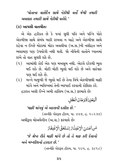'પોતાના વાલેદૈન સાથે નેકીથી વર્તો જેથી તમારી અવલાદ તમારી સાથે નેકીથી વર્તશે.'

#### (ક) આપસી વાતચીતઃ

એ એક હકીકત છે કે જ્યાં સુધી પતિ અને પત્નિ પોતે એકબીજા સાથે સંબંધ બાકી રાખવા ન ચાહે અને એકબીજા સાથે રહેવા ન ઈચ્છે મોટામાં મોટા અવલીયા (અ.સ.)ની નસીહત અને ભલામણ પણ ઉપયોગી નથી થતી. જો નીચેની વાતોને ધ્યાનમાં રાખે તો વાત સુધરી શકે છે.

- (૧) આમાંથી કોઈ એક પણ મઅસમ નથી. એટલે દરેકથી ભુલ થઈ શકે છે. મોટી મોટી ભલો થઈ શકે છે અને વારંવાર પણ થઈ શકે છે.
- (૨) બન્ને બાજુથી જે ભુલો થઈ છે તેના વિષે એકબીજાથી માફી માંગે અને ભવિષ્યમાં તેની ભરપાઈ કરવાની કોશિશ કરે.

હ઼ઝરત અલી ઈબ્ને અબી તાલિબ (અ.સ.) ફરમાવે છેઃ

# ٱلۡۡبَعۡنِ رَقَٰٓبُرۡهَانُ الۡعَقۡل

#### 'માફી માંગવું એ અકલની દલીલ છે.'

(તસ્નીફે ગોરરૂલ હીકમ, પા. ૪૪૭, હુ. ૧૦૨૩૪) અમીરૂલ મોઅમેનીન (અ.સ.) ફરમાવે છે:

# مَن آخْسَنَ الْإِعْتِذَارَ إِسْتَحَقَّ الْإِغْتِفَارَ

'જે શ્રેષ્ઠ રીતે માકી માંગે છે તો તે માક કરી દેવાનો અને બખ્શીશનો હકદાર છે.'

(તસ્નીફે ગોરરૂલ હીકમ, પા. ૧૯૫, હ. ૩૮૧૮)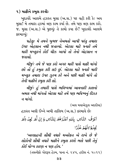૧) માફીને કબુલ કરવીઃ

ખુદાવંદે આલમે હઝરત મુસા (અ.સ.) પર વહી કરી કે: અય મુસા! મે તમારા હકમાં ત્રણ કામ કર્યા છે. તમે પણ ત્રણ કામ કરો. જ. મુસા (અ.સ.) એ પુછયુંઃ તે કામો કયા છે? ખુદાવંદે આલમે ફરમાવ્યું:

પહેલુઃ મે તમને ખુબજ નેઅમતો આપી પરંતુ તમારા ઉપર એહસાન નથી જતાવ્યો. એટલા માટે જ્યારે તમે મારી મખ્લકને કોઈ ચીઝ આપો તો તેનો એહસાન ન જતાવો.

બીજંઃ તમે જે પણ કરો અગર મારી પાસે માફી માંગો છો તો હું કબુલ કરી લઉ છું. એટલા માટે જ્યારે મારી મખ્લુક તમારા ઉપર ઝુલ્મ કરે અને પછી માફી માંગે તો તેની માફીને કબુલ કરી લો.

ત્રીજુંઃ હું તમારી પાસે ભવિષ્યમાં આવનારી કાલનો અમલ નથી માંગતો એટલા માટે તમે પણ ભવિષ્યનું રીઝક  $t$  માંગો.

(અલ મવાએઝુલ અદદીયા)

હઝરત અલી ઈબ્ને અબી તાલિબ (અ.સ.) ફરમાવે છે: ٱغَرَفُ النَّاسِ بِاللهِ ٱعۡلَٰٓرَهُمۡ لِلنَّاسِ وَ اِنۡ لَّٰهَ يَجۡلُ (لَمۡ يَجِلُواْ)لَهُمَ عُنَّارًا

'અલ્લાહની સૌથી વધારે મઅરેકત એ રાખે છે જે લોકોની સૌથી વધારે માફીને કબુલ કરશે ભલે પછી તેનું કોઈ યોગ્ય કારણ ન પણ હોય.'

(તસનીકો ગોરરૂલ હેકમ. પાના નં. ૨૪૫. હદીસ નં. ૫૦૧૧)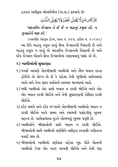હઝરત અમીરૂલ મોઅમેનીન (અ.સ.) ફરમાવે છે:

شَرٌّ تَاسِ مَنْ لَّا يَقْبَلُ الْعُذِّرَوَلَا يُقِيَلُ النَّانُتِ

'બદતરીન ઈન્સાન તે છે જે ન બહાનું કબુલ કરે, ન ગુનાહોને માફ કરે.'

(તસનીફો ગોરરૂલ હેકમ, પાના નં. ૪૪૭, હદીસ નં. ૧૦૨૪૬) આ રીતે બહાન કબુલ કરવું શ્રેષ્ઠ ઈન્સાનની નિશાની છે અને બહાનુ કબુલ ન કરવું એ બદતરીન ઈન્સાનની નિશાની છે અને દરેક ઈન્સાન પોતાને શ્રેષ્ઠ ઈન્સાનોમાં ગણાવવાનં પસંદ કરે છે.

#### ૨) ખામીઓની સુધારણાઃ

- ૧) જ્યારે આપણે એકબીજાની ખામીઓ અને એેબ બયાન કરતા હોઈએ તો યોગ્ય એ છે કે પહેલા તેની ખબીઓ વર્ણવવામાં આવે અને તેના સારા વર્તાવનો આભાર માનવામાં આવે.
- ૨) બધી ખામીઓ એક સાથે બયાન ન કરવી જોઈએ બલ્કે એક એક બયાન કરવી જોઈએ અને તેની સુધારણાની કોશિશ કરવી જોઈએ
- ૩) દરેક સમયે અને દરેક જગ્યાએ એકબીજાની ખામીઓ બયાન ન કરવી જોઈએ બલ્કે સમય અને સ્થળની પસંદગીનં ખબજ મહત્ત્વ છે. સામેવાળાના મુડને ઓળખવું ખુબજ જરૂરી છે.
- ૪) ખામીઓને બીજાઓની સામે બયાન ન કરવી જોઈએ. બીજાઓની સામે ખામીઓ વર્ણવીને નસીહત કરવાથી વ્યકિતત્વ <u>ઘવાઈ જાય છે.</u>
- ૫) બીજાઓની ખામીઓ વર્ણવતા પહેલા ખદ પોતે પોતાની ખામીઓ ઉપર એક નઝર નાખવી જોઈએ અને તેની પણ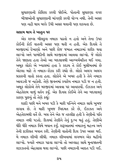સુધારણાની કોશિશ કરવી જોઈએ. પોતાની સુધારણા વગર બીજાઓની સુધારણાની માંગણી કરવી યોગ્ય નથી. તેની અસર પણ નહી થાય બલ્કે ઉંઘી અસર થવાની પણ શકયતા છે.

#### સલામ થાય તે ખાતૃન પર

એક શખ્સ બીલકુલ નમાઝ પઢતો ન હતો અને તેના ઉપર કોઈની કોઈ વાતની અસર પણ થતી ન હતી. એક દિવસે તે મસ્જીદમાં દેખાણો અને પછી રોજ જમાત નમાઝમાં શરીક થવા લાગ્યો અને પાબંદીની સાથે મસ્જીદમાં આવવા લાગ્યો જે લોકો તેને જાણતા હતા તેઓ આ બદલાવથી આશ્ચર્યચકિત થઈ ગયા. અમૂક લોકો એ ખ્યાલમાં હતા કે કદાચ તે કોઈ મુસીબતમાં છે એટલા માટે તે નમાઝ-રોઝા કરી રહ્યો છે. લોકો અલગ અલગ પ્રકારની વાતો કરતા હતા. લોકોને એ ખબર હતી કે તેને નમાઝ આવડતી જ નહોતી. તેણે જીવનમાં કયારેય નમાઝ પડી જ ન હતી. અમૂક લોકોએ તેને મસ્જીદમાં આવવા પર આવકાર્યો. ઈઝઝત અને એહતેરામ વાળું વર્તન કર્યું. એક દિવસ કોઈએ તેને આ બદલાવનું કારણ પુછયું તો તેણે કહ્યું:

શાદી પછી મને ખબર પડી કે મારી પત્નિને નમાઝ સાથે ખુબજ લગાવ છે. તે મારી ખુબજ ખિદમત કરે છે, ઈઝઝત અને એહતેરામથી વર્તે છે. બસ તેને એક જ તકલીક હતી કે તેણીનો પતિ નમાઝ નથી પડતો. દિલમાં તેણીને તેનું દુઃખ થતું હતું. તેણીએ ધીરે ધીરે નમાઝ વિષે બયાન કર્યું. શરૂઆતમાં નમાઝનું મહત્ત્વ અને તેની ફઝીલત બયાન કરી. તેણીની વાતોની દિલ ઉપર અસર થઈ. મે નમાઝ શીખી લીધી. નમાઝ શીખવામાં લગભગ એક મહીનો લાગ્યો. જ્યારે નમાઝ પઢવા લાગ્યો તો અલ્લાહ સાથે મુનાજાતની લઝઝતનો એહસાસ થવા લાગ્યો. પછી નમાઝની આદત પડી ગઈ.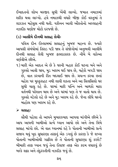ઈબાદતનો શોખ મસ્જીદ સુધી ખેંચી લાવ્યો. જમાત નમાઝમાં શરીક થવા લાગ્યો. હવે નમાઝથી વધારે બીજી કોઈ વસ્તુમાં તે લઝઝત મહેસસ નથી થતી. યકીનન આવી ઔરતોનો અલ્લાહની નઝદીક ઘણોજ મોટો દરજ્જો છે.

#### (ડ) આલીમે દીનથી સલાહ લેવીઃ

પવિત્ર દીન ઈસ્લામમાં સલાહનું ખુબજ મહત્ત્વ છે. જ્યારે આપસી સંબંધોમાં તિરાડ પડી જાય તે સંજોગોમાં અનુભવી આલીમે દીનથી સલાહ લેવી ખુબજ ફાયદાકારક છે. નીચે બે વાકેઆ વર્ણવીએ છીએ.

૧) મારી એક આદત એ છે કે ઘરની બહાર કોઈ ઘટના બને અને ગુસ્સો આવી જાય, મુડ ખરાબ થઈ જાય છે, ચહેરો બગડી જાય છે. વાત કરવાની રીત બદલાઈ જાય છે. પ્રયત્ન કરવા છતાં ચહેરા પર મુસ્કુરાહટ નથી લાવી શકતા અને આ સિલસિલો ઘર સુધી ચાલુ રહે છે. ઘરમાં મારી પત્નિ અને બાળકો મારા વર્તનથી પરેશાન થાય છે અને ઘરમાં પણ તે જ વાતો થાય છે. ગુસ્સો ચડેલો રહે છે અને મુડ ખરાબ રહે છે. જેના લીધે ઘરનો માહોલ પણ ખરાબ રહે છે.

#### $\triangleright$  acus:

સૌથી પહેલા તો આપને મુબારકબાદ આપવા માંગીએ છીએ કે આપ આપની ખામીઓ પ્રત્યે ધ્યાન આપો છો અને તેના વિષે સલાહ માંગો છો. એ વાત ધ્યાનમાં રહે કે પોતાની ખામીઓ પ્રત્યે સજાગ થવું ખુદ સુધારણા તરફનું એક ડગલું છે કારણ કે જે શખ્સ પોતાની ખામીઓથી ગાફીલ છે તે પોતાની સુધારણા શું કરશે? બીમારી તરફ ધ્યાન જવું તેના ઈલાજ તરફ એક કદમ વધારવું છે બલ્કે શફા અને તંદરસ્તીની નઝદીક જવું છે.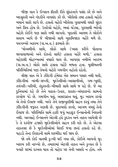બીજી વાત કે ઈન્સાન ફીતરી રીતે સંદરતાને પસંદ કરે છે અને બદસરતી અને ગંદકીને નાપસંદ કરે છે. ખીલેલો તથા હસતો ચહેરો બધાને સારો લાગે છે. હસતો ચહેરો ખીલેલા ગુલાબથી વધારે સુંદર અને પ્રિય હોય છે. ઉતરેલો ચહેરો, ભવાં ચડેલા, ગુસ્સાથી ભરેલો ચહેરો કોઈને પણ સારો નથી લાગતો. ખદાવંદે આલમ તે લોકોને સવાબ આપે છે જે બીજાઓ સાથે ખુશમિજાઝ ચહેરે મળે છે. ૫યગમ્બરે અકરમ (સ.અ.વ.) ફરમાવે છે:

'મોઅમીનો સાથે, લોકો સાથે (ખાસ કરીને પોતાના ઘરવાવાળાઓ અને દોસ્તો સાથે) હસતા ચહેરે મળો.' હસતા ચહેરાથી મોહબ્બતમાં વધારો થાય છે. આપણા નબીએ અકરમ (સ.અ.વ.) લોકો સાથે હસતા ચહેરે મળતા હતા. મુસીબતની પરિસ્થિતિમાં પણ તેમનો ચહેરો ગમગીન નહોતો રહેતો.

ત્રીજી વાત એ કે ઝીંદગી હંમેશા એક સમાન પસાર નથી થતી, ઝીંદગીમાં નરમી-સખ્તી, મુશ્કેલીઓ-આસાનીઓ, ગમ-ખુશી, તવંગરી-ગરીબી, તંદરસ્તી-બીમારી સાથે સાથે જ રહે છે. જે આ દુનિયામાં રહે છે તેને ચઢાવ-ઉતાર, પ્રકાશ-અંધકારનો સામનો કરવોજ પડે છે. ગમગીન થવું, અસરગ્રસ્ત થવું, મુડ ખરાબ કરવો એ તેનો ઈલાજ નથી. બલ્કે તેને રાજીખુશીથી સહન કરવું તથા તેને ઝીંદગીની જરૂરત ગણવી છે. મુકાબલો કરવો, આગળ વધવું તેનો ઈલાજ છે. પરિસ્થિતિ સામે હારી જવું બહાદુર ઈન્સાનોની નિશાની નથી. અલ્લાહે ઈન્સાનને એટલી હદ્દે કુદરત અને તાકત આપેલી છે કે તે દરરોજ હજારો મુશ્કેલીઓને સહન કરી શકે છે. તે એટલા તાકતવર છે કે મુશ્કેલીઓમાં ઘેરાઈ જવા છતાં હસતો રહે છે. પહાડો તેના ઈરાદાની સામે શરમીંદા થઈ જાય છે.

જો તમે કોઈ વાતથી દુઃખી થઈ ગયા છો, કોઈએ આપનો મુડ ખરાબ કરી નાખ્યો છે. તમારામાં એટલી તાકત અને કુવ્વત છે કે જ્યારે ઘરમાં દાખલ થાવ તો ચહેરા પર તેની અસરો ન હોય. તમે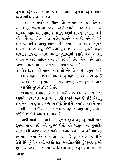હસતા ચહેરે ઘરમાં દાખલ થાવ તો આપનો હસતો ચહેરો તમારા ઘરને શાંતિમય બનાવી દેશે

ચોથી વાત જ્યારે આ રીતની કોઈ બાબત બની જાય જેનાથી તમારો મુડ ખરાબ થઈ જાય, ચહેરો ગમગીન થઈ જાય, તો એ બાબતનું ખાસ ધ્યાન રાખે કે તરતજ ઘરમાં દાખલ ન થાય. બલ્કે ઘરે પહોંચતા પહેલા થોડા અટકે, શ્વાસને શાંત કરે અને ચેહરાને શાંત કરે અને એ વાતનું ધ્યાન રાખે કે તમારા બાલબચ્ચાઓ ખુબજ શોખથી તમારી રાહ જોઈ રહ્યા હોય છે. તમારો હસતો ચહેરો બચ્ચાને તાજગી આપશે. તેમની ખુશીઓમાં વધારો કરશે. હઝરત ઈમામ જઅફર સાદિક (અ.સ.) ફરમાવે છેઃ 'નેકી અને સારા અખ્લાક ઘરને આબાદ અને વયમાં વધારો કરે છે.'

૧) એક દિવસ ઘરે પાછી આવી તો જોયુ કે મારી સાસુની પાસે અમૂક મહેમાનો છે અને મારી સાસુ મહેમાનો પાસે મારી બુરાઈ કરે છે. જે સાસુ મારી સામે મારા વખાણ કરતી હતી તે આજે આ રીતે બરાઈ કરી રહી છે.

'જ્યારથી તે મારા ઘરે આવી મારી તરક કંઈ ધ્યાન જ નથી આપતી. જરા પણ મારૂં ધ્યાન નથી રાખતી અને જે કાંઈ વિચાર્ય હતું તેની બિલકુલ વિરૂઘ્ઘ નિકળ્યું. તેણીએ અમારા દિકરાને પણ મારાથી દૂર કરી દીધો છે. મને નથી લાગતું એ આવું લાંબુ ચાલશે. જોઈએ છીએ કે આગળ શું થાય છે.'

આવી વાતો સાંભળીને મને ખુબજ દુઃખ થયું. હું સીધી મારા રૂમમાં ચાલી ગઈ અને ખુબજ રોઈ. મને સાસુની આ મુનાફીક રીતભાતથી બહજ તકલીફ પહોંચી. જ્યારે પણ તે પ્રસંગને યાદ કરૂં છું મારા મનમાં એક આગ લાગી જાય છે. હું વિચારવા લાગી કે કેવી રીતે હું તે વાતનો બદલો લઉ. માનસિક રીતે હું ખુબજ દુઃખી છું. ફકત બદલો જ બદલો, એ સિવાય બીજુ કશુંજ સમજમાં નથી આવતું.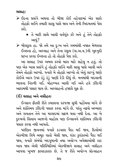સલાહ:

- ≻ ઈદના પ્રસંગે અથવા તો બીજા કોઈ તહેવારમાં એક સારો તોહફો લઈને તમારી સાસુ પાસે જાવ અને તેની ખિદમતમાં પેશ કરો.
	- ∙ તે મારી સાથે આવી વર્તણુંક કરે અને હું તેને તોહકો આપું?
- ≻ બીલકુલ હા. જો તમે આ દુઃખ અને ગમમાંથી નજાત મેળવવા ઈચ્છતા હો, અલ્લાહ અને તેના રસુલ (સ.અ.વ.)ની ખુશ્નુદી પ્રાપ્ત કરવા ઈચ્છતા હો તો તોહકો પેશ કરો.

આ સલાહ ઉપર અમલ કરવો મારા માટે સહેલ ન હતું. તો પણ એક ખાસ પ્રસંગે હું તોહફો લઈને મારી સાસુ પાસે આવી અને તેમને તોહફો આપ્યો. જ્યારે મે તોહફો આપ્યો તો એવું લાગ્યું જાણે કોઈએ આગ ઉપર ઠંડું ઠંડું પાણી રેડી દીધું છે. મનમાંથી બદલાની ભાવના નિકળી ગઈ. મોહબ્બત આવી ગઈ અને હવે ઝીંદગી આરામથી પસાર થાય છે. અલ્લાહનો હજારો શક છે.

#### (ઈ) સલાહ અને નસીહતઃ

ઈન્સાન ફીતરી રીતે કમાલના દરજ્જા સુધી પહોંચવા માંગે છે અને શાંતિમય ઝીંદગી પસાર કરવા માંગે છે. પરંતુ નફસે અમ્મારા અને શયતાન તેને આ મકસદમાં સકળ થવા નથી દેતા. આ બે દૃશ્મનો સિવાય આજનો માહોલ પણ ઈન્સાનને શાંતિમય ઝીંદગી પસાર કરવા નથી આપતો.

પરણિત જીવનમાં જ્યારે કડવાશ પૈદા થઈ જાય. દિલોમાં એકબીજા વિષે અમૂક વાતો બેસી જાય, શંકા કુશંકાઓ પૈદા થઈ જાય, જ્યારે સંબંધો બદગુમાની તથા અયોગ્ય અપેક્ષાઓથી કાટ ખાય જાય એવી પરિસ્થિતિમાં એકબીજાને સલાહ અને નસીહત આપવા ખુબજ ફાયદાકારક છે. તે જ રીતે અયોગ્ય પ્રોત્સાહન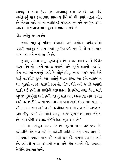આપવું તે આગ ઉપર તેલ નાખવાનું કામ કરે છે. આ વિષે વાલેદેનનું પાત્ર (અવલાદ સામાન્ય રીતે માં થી વધારે નજીક હોય છે એટલા માટે માં ની નસીહત) પરણીત જીવનને મજબુત કરવા અથવા તો બગાડવામાં મહત્ત્વનો ભાગ ભજવે છે.

#### એક સ્ત્રીનું બયાન છેઃ

જ્યારે પણ હું પતિના વાંધાઓ અને અયોગ્ય અપેક્ષાઓથી કંટાળી જાવ છું તો સબ્ર કરવી મુશ્કીલ થઈ જાય છે. તે સમયે મારી માતા આ રીતે નસીહત કરે છે.

જુઓ, પતિના અમૂક હક્કો હોય છે. અગર તમારૂં ઘર વેરવિખેર પડયું હોય તો પતિને નારાજ થવાનો અને ગુસ્સે થવાનો હક્ક છે. રોજ ખાવામાં નમકનું વધારે કે ઓછું હોવું, સ્વાદ ખરાબ થવો કોને સારૂં લાગશે? જુઓ આ વાતોનું ધ્યાન રાખ. આ રીતે નારાજ ન થા, ગુસ્સો ન કર. સબ્રથી કામ લે. યોગ્ય રીતે વર્ત. જ્યારે અમારી શાદી થઈ હતી તો શાદીની શરૂઆતના દિવસોમાં તારા પિતા સાથે ખબજ હંસાતંસી થતી હતી. જો હું સબ્ર અને અક્કલથી કામ ન લેત અને ઘર છોડીને ચાલી જાત તો તમે બધા લોકો બેઘર થઈ જાત. ન તો ભણતર થાત અને ન તો તરબીયત થાત. મે સબ્ર અને અક્કલથી કામ લીધું. ઘરને સંભાળીને રાખ્યું. આજે ખુબજ શાંતિમય ઝીંદગી છે. તારા જેવી અવલાદ જોઈને દિલ ખુશ થાય છે.'

માં ની નસીહત અસર કરે છે. ગસ્સો ખત્મ થઈ જાય છે. ઝીંદગીને એક બળ મળે છે. ઝીંદગી શાંતિમય રીતે પસાર થાય છે. માં કયારેક કયારેક મારા ઘરે આવી જાય છે. કામમાં સહકાર આપે છે. ઝીંદગી પસાર કરવાની કળા અને રીત શીખવે છે. અલ્લાહ તેણીને સલામત રાખે.

 $XQ$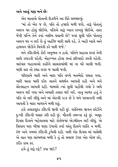અને આવું પણ બને છેઃ

એક માતાએ પોતાની દિકરીને આ રીતે સમજાવ્યં:

'માં તો એક જ છે. પતિ તો હજારો મળી જશે. તારૂં પોતાનં અલગ ઘર હોવં જોઈએ. પતિએ તારૂં ધ્યાન રાખવં જોઈએ. તારા જેવી પત્નિ તેને કયાં નસીબ થવાની છે! જ્યાં સુધી પતિ પોતાનું અલગ ઘર ન લઈ લે તું અહીંજ મારી સાથે રહે. તે અહી આવે અને હાથપગ જોડીને વિનંતી કરે પછી જજે.'

મને ઝીંદગીનો કોઈ અનુભવ ન હતો. પતિને ચાહવા છતાં તેની સાથે ઝઘડતી રહેતી. મોહબ્બત હોવા છતાં ફરિયાદો કરતી રહેતી. વારંવાર બહાનાઓ કાઢીને સાસરામાંથી માં ના ઘરે ચાલી જતી. ઘણી વાર તો કહ્યા વગર જ ચાલી જતી.

પરિણામે મારી અને મારા પતિ વચ્ચે મતભેદો વધતા ગયા. મારી માતા મારી દરેક વાતને સમર્થન આપતી રહી અને મને પ્રોત્સાહન આપતી રહી. મામલો ત્યાં સધી પહોંચી ગયો કે અમે અલગ થઈ ગયા અને અમારી તલાક થઈ ગઈ. નાનુ બાળક હતું તે પતિ એ લઈ લીધું અને માં એટલી કડક છે કે મને પરવાનગી નથી આપતી કે મારા બાળકને મળી શકં.

હવે તલાકશુદા ઝીંદગી જીવી રહી છું. શાંતિમય જીવન છોડીને દુઃખી ઝીંદગી પસાર કરી રહી છું. મૌતની તમન્ના કરૂં છું. અમૂક દિવસ દિલને બહેલાવવા માટે કોલેજમાં એડમીશન લઈ લીધું. એ સિવાય પણ બીજા ઘણા ઉપાયો કર્યા પરંતુ દિલને શાંતિ ન મળી. રંજ અને ગમમાં ઝીંદગી ડુબેલી રહી. પછી એક દિવસ માં પાસેથી એ વાત પણ સાંભળવા મળી કે તું તો સમાજ ઉપર એક બોજ છો. કઈંક કામ કર.

હવે હું શરૂં કરૂં? કયા જાઉ?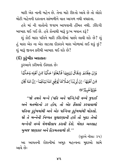મારી એક નાની બહેન છે. તેના માટે રીશ્તો આવે છે તો લોકો મોટી બહેનની દાસ્તાન સાંભળીને વાત આગળ નથી વધારતા.

હવે માં ની વાતોનો જવાબ આપવાની હીંમત નથી. ઝીંદગી બરબાદ થઈ ગઈ છે. હવે કોનાથી મારૂં દુઃખ બયાન કરૂં?

શું કોઈ મારા પતિને મારી ઝીંદગીમાં પાછો લાવી શકે છે? શું હું મારા એક ના એક લાડલા દીકરાને મારા ખોળામાં લઈ શકું છું? શું મારૂં જીવન ફરીથી આબાદ થઈ શકે છે?

#### $(\delta)$  કુટુંબીક અદાલતઃ

કુરઆને કરીમનો ઈરશાદ છે:

وَإِنْ خِفْتُمُ شِقَاقَ بَيْنِهِمَا فَابْعَثُوۡا حَكَمًا قِنۡ اَهۡلِهٖ وَحَكَمَا قِنَ آهَلِهَا ۚ إِنَّ يُرِيِّدَآ إِصْلَاهَا يُوَفِّقِ اللَّهُ بَيْنَهُمَا ۚ إِنَّ اللَّهَ كَانَ عَلِيْمًا خَبِيْرًا®

"જો તમને બન્ને (પતિ અને પત્નિ)ની વચ્ચે જુદાઈ અને મતભેદનો ડર હોય. તો એક કેંસલો કરવાવાળો પતિના કુટુંબમાંથી અને એક પત્નિના કુટુંબમાંથી મોકલો. જો તે બન્નેની નિય્યત સુધારણાની હશે તો ખુદા તેઓ બન્નેની વચ્ચે મેળમીલાપ કરાવી દેશે. બેશક અલ્લાહ ખબજ જાણકાર અને હિકમતવાળો છે."

(સરએ નીસાઃ ૩૫)

આ આયતની રોશનીમાં અમૂક મહત્ત્વના મુદ્દાઓ સામે આવે છે: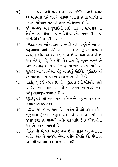- મતભેદ થયા પછી પગલા ન ભરવા જોઈએ. બલ્કે જ્યારે  $\mathfrak{q}$ ) એ એહસાસ થઈ જાય કે મતભેદ થવાનો છે તો મતભેદના થવાની પહેલાજ નઝદીક લાવવાનો પ્રયત્ન કરવો..
- જો મતભેદ અને જુદાઈની કોઈ વાત ન સંભળાય તો ૨) તેઓની ઝીંદગીમાં દખલ ન દેવી જોઈએ. બિનજરૂરી દખલ પરિસ્થિતિને બગાડી નાખે છે.
- ્રાહ રાબ્દ ત્યાં વપરાય છે જ્યારે એક વસ્તને બે ભાગમાં  $\mathcal{E}$ વહેંચવામાં આવે. પતિ-પત્નિ માટે શબ્દ ثقاق વાપરીને કુરઆને કરીમ એ બતાવવા માંગે છે કે તેઓ બન્ને બે છે પણ એક રૂહ છે, બે શરીર એક જાન છે, ખુબજ નજીક છે અને અલ્લાહ આ નઝદીકીને હંમેશા બાકી રાખવા માંગે છે.
- સુધારણાના પ્રયત્નોમાં મોડુ ન કરવું જોઈએ. المَجْثُوُا માં  $\lambda$ ) . ط તાત્કાલીક પગલા ભરવા તરફ ઈશારો કરે છે.
- तो મોકલો, नક્કી) فَأَبْعَثُوُ (તો મોકલો, नક્કી) إِنْ خِفْتُهُمْ  $\mathbf{u}$ ) કરો)થી સ્પષ્ટ થાય છે કે તે વ્યકિતગત જવાબદારી નથી પરંતુ સામાજીક જવાબદારી છે.
- હિંત્રિક રી સ્પષ્ટ થાય છે કે બન્ને બાજુના સગાઓની  $\epsilon$ ) જવાબદારી વધારે છે.
- $\mathcal{S}$ બુઝુર્ગોના ફેંસલાને કબુલ કરવો એ પતિ અને પત્નિની જવાબદારી છે. પોતાની વ્યકિતગત પસંદ ઉપર બીજાઓની પસંદને અગ્રતા આપવી છે.
- $\zeta$ ) ી અને પણ સ્પષ્ટ થાય છે કે વાતને બહ કેલાવવી અ નહી, બલ્કે બે માણસો ભેગા મળીને ફેંસલો કરે. પંચાયત અને મીટીંગ બોલાવવાની જરૂરત નથી.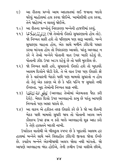- $\epsilon)$ આ રીતના પ્રશ્નો આમ અદાલતમાં લઈ જવાના બદલે ઘરેલું માહોલમાં હલ કરવા જોઈએ. ખામોશીથી હલ કરવા. તેને જાહેરમાં ન લાવવં જોઈએ.
- १०) આ રીતના પ્રશ્નોનું નિરાકરણ બન્નેની હાજરીમાં કરવું.
- ११) لِنۡ يُوِيُمَالِصَلَاتَا) (જો તેઓનો ઈરાદો સુધારણાનો હોય તો). જો નિય્યત સારી હશે તો પરિણામ પણ સારૂ આવશે. બન્ને સુધારણા ચાહતા હોય, એક સાથે મળીને ઝીંદગી પસાર કરવા માંગતા હોય તો નિરાકરણ આવશે. પરંતુ અલ્લાહ ન કરે ને તેઓ બન્નેને પોતાની વાત ઉપર બાકી રહેવું છે, પોતાની ઝીદ ઉપર અડગ રહેવું છે તો પછી મુશ્કીલ છે.
- ૧૨) જો નિય્યત સારી હશે, સુધારાનો ઈરાદો હશે તો ખુદાવંદે આલમ દિલોને જોડી દેશે. તે એ વાત ઉપર પણ ઈશારો કરે છે કે વારંવારની બેઠકો પછી પણ મામલો સુધરતો ન હોય તો તેનું એક કારણ એ છે કે પતિ પત્નિ જ સધારો નથી ઈચ્છતા. ખુદ તેઓની નિય્યત સાફ નથી.
- ૧૩) لِمَوْقِقِ اللَّهُ بَيْنَهُمَا (અલ્લાહ તેઓમાં એકમતતા પૈદા કરી દેશે). બેશક દિલો ઉપર અલ્લાહનો કાબુ છે પરંતુ આપણી નિય્યતો પણ અસર ધરાવે છે.
- ૧૪) આ વાકય એ હકીકત તરફ ઈશારો કરે છે કે જો આ રીતની બેઠક પછી મામલો સુધરી જાય તો પોતાની અકલ અને કૌશલ્ય ઉપર ફખ્ર ન કરો બલ્કે અલ્લાહનો શક અદા કરો કે તેણે હાલતને બદલી નાખી.

ઉપરોકત વાતોથી એ બીલકલ સ્પષ્ટ છે કે ખદાવંદે આલમ હર હાલમાં બન્નેને સાથે અને વિવાહીત ઝીંદગી જીવતા જોવા ઈચ્છે છે. કયારેય બન્નેને એકબીજાથી અલગ જોવા નથી માંગતો. જો આપણે અલ્લાહના બંદા હોઈએ, તેની ઝમીન ઉપર વસીએ છીએ,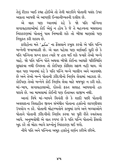તેનું રીઝક ખાઈ રહ્યા હોઈએ તો તેની મરઝીને પોતાની પસંદ ઉપર અગ્રતા આપવી એ આપણી ઈન્સાનીય્યતની દલીલ છે.

એ વાત પણ ધ્યાનમાં રહે કે જો પતિ પત્નિના સગાવહાલાઓમાં કોઈ એવું ન હોય કે જે તે મહત્ત્વના મસલાના નિરાકરણમાં પોતાનું પાત્ર નિભાવી શકે તો બીજા માણસો પણ નિયુકત કરી શકાય છે.

ફકીહોના મતે 'مكم' ના ફેંસલાને કબુલ કરવો એ પતિ પત્નિ બન્નેની જવાબદારી છે. એ વાત પહેલા પણ વર્ણવાઈ ચુકી છે કે પતિ પત્નિના પ્રશ્ન ફકત ત્યારે જ હલ થઈ શકે જ્યારે તેઓ બન્ને ચાહે. જો પતિ પત્નિ પોતે અથવા બીજો કોઈના આધારે પરિસ્થિતિ સુધારવા નથી ઈચ્છતા તો કોઈપણ કોશિશ સફળ નહી થાય. એ વાત પણ ધ્યાનમાં રહે કે પતિ પત્નિ બન્ને બાલીગ અને અકલમંદ છે અને તેઓ બન્ને પોતાની ઝીંદગીનો નિર્ણય લેવામાં આઝાદ છે. કોઈપણ તેઓ બન્નેને કોઈ નિર્ણય લેવા માટે મજબુર ન કરી શકે. માં-બાપ, સગાવહાલાઓ, દોસ્તો ફકત સલાહ આપવાનો હક ધરાવે છે. આ મામલામાં કોઈની પણ ઈતાઅત વાજીબ નથી.

આનાં વિષે માં-બાપને વિનંતી છે કે શાદી પછી પોતાની અવલાદના વિવાહીત જીવન સંબંધીત પોતાના હક્કોનો લાગણીવશ ઉપયોગ ન કરે. પોતાની મોહબ્બતોને કાબુમાં રાખે અને બચ્ચાઓને પોતાને પોતાની ઝીંદગીનો નિર્ણય કરવા પર પુરી રીતે સ્વતંત્રતા આપે. અનુભવોથી એ વાત સ્પષ્ટ છે કે પતિ પત્નિ પોતાનો ફેંસલો ખુદ કરે તો મોટા ભાગે પ્રશ્નોનું નિરાકરણ થઈ જશે.

નીચે પતિ અને પત્નિના અમુક હક્કોનું વર્ણન કરીએ છીએ.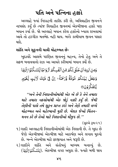## પતિ અને પત્નિના હક્કો

અલ્લાહે જ્યાં નિકાહની તાકીદ કરી છે, અવિવાહીત જીવનને નાપસંદ કર્યું છે ત્યાંજ વિવાહીત જીવનમાં એકબીજાના હક્કો પણ બયાન કર્યા છે. જો અલ્લાહે બયાન કરેલ હક્કોનો ખ્યાલ રાખવામાં આવે તો હરગીઝ મતભેદ નહી થાય. બલ્કે કામીયાબ જીવન પસાર થશે.

#### શાંતિ અને સુકુનની ચાવી મોહબ્બત છેઃ

ખુદાવંદે આલમે પરણિત જીવનનું મહત્ત્વ, તેનો હેતુ અને તે સફળ બનાવવાનો રાઝ આ આયતે કરીમામાં બયાન કર્યો છે.

وَمِنْ اٰيٰتِهَ آنْ خَلَقَ لَكُمْ قِنْ آنَفُسِكُمْ آزْوَاجًا لِّتَسْكُنُوَّا اِلَيۡهَا وَجَعَلَ بَيْنَكُمُ مَّوَدَّةً وَّرَحْمَةً ۚ إِنَّ فِي ذٰلِكَ لَأَيْتٍ لِّقَوْمٍ ؾؐؾؘڣؘڴؖۯۅ۫ڽؘ<sub>۞</sub>

''અને તેની નિશાનીઓમાંથી એક એ છે કે તેને તમારા માટે તમારા નકસોમાંથી એક જોડું નક્કી કર્યું છે. જેથી તેણીની પાસે તમે સુકુન પ્રાપ્ત કરો અને તેણે તમારી વચ્ચે મોહબ્બત અને મહેરબાની મુકી છે. બેશક જેઓ ચિંતન-મનન કરે છે તેઓ માટે નિશાનીઓ મૌજુદ છે."

(સરએ **૩મઃ૨૧)** 

૧) શાદી અલ્લાહની નિશાનીઓમાંથી એક નિશાની છે. તે ખુદા છે જેણે એકબીજામાં એકબીજા માટે આકર્ષણ અને લગાવ મુકયો છે. બન્ને એકબીજા માટે ફરજીયાત અને જરૂરી છે.

૨) શાદીને શાંતિ અને સંતોષનું માધ્યમ બનાવ્યું છે. (لِتَسْكُنُوۡااِلَيۡهَا). એકબીજા વગર અધુરા છે. જ્યારે મળી જાય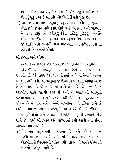છે તો એકબીજાને સંપૂર્ણ બનાવે છે. તેથી સુકૂન મળે છે અને દિલનું સૂકુન એ ઈન્સાનની ઝીંદગીની કિંમતી પુંજી છે.

૩) આ સંબંધના બાકી રહેવાનું રહસ્ય માલો દૌલત, સુંદરતા, વંશાવળી વગેરેને નથી કરાર દીધં બલ્કે 'મવદત' અને 'રહેમત' ને કરાર દીધું છે. (وَجَعَلَ بَيۡنَكُمۡ مَّوَدَّةًۚ وَّرَحۡمَةً) એટલેકે ઈન્સાનની ઝીંદગી મોહબ્બત અને રહેમત ઉપર આધારીત છે. જો શાદી પછી બન્નેની વચ્ચે મોહબ્બત અને રહેમત નથી તો ઝીંદગી સ્થિર નથી રહેતી.

#### મો,ડબ્બત અને રહેમત:

કરઆને કરીમે બે શબ્દો વાપર્યા છે. મોહબ્બત અને રહેમત.

એક ઈમારતની મઝબુતી ફકત સારી ઈંટો પર આધાર નથી રાખતી. જો ઈંટો ઉપર ઈંટો રાખી દેવામાં આવે તો તેનાથી દિવાલ મઝબૂત નથી થતી. એ વસ્તુઓ જે દિવાલને મઝબુતી અર્પણ કરે છે તે તે મસાલો છે જે બે ઈંટોની વચ્ચે હોય છે. જે બન્ને ઈંટોને એકબીજા સાથે જોડેલી રાખે છે અને તે મસાલાની મઝબુતી ધરતીકંપમાં પણ દિવાલને પડવા નથી દેતી. તે મોહબ્બત અને રહેમત છે જે પતિ અને પત્નિને એકબીજા સાથે જોડેલા રાખે છે અને તે પાકીઝા સંબંધને મજબુતી પ્રદાન કરે છે, જે ઝીંદગીની સખ્ત મૂશ્કેલીઓ અને અસહ્ય પરિસ્થિતિમાં પણ તે સંબંધને જોડી રાખે છે. જ્યાં મોહબ્બત અને રહેમતમાં કમી આવી ત્યાં સંબંધ કમઝોર થવા લાગે છે

૧)મોહબ્બત શરૂઆતની મંઝીલમાં છે અને રહેમત બીજી મંઝીલમાં છે. જ્યારે પતિ પત્નિ વધ્ધ થઈ જાય અને એકબીજાની ખિદમતની શકિત નથી ધરાવતા તે સમયે રહેમતનો જઝબો મઝબુતી આપે છે.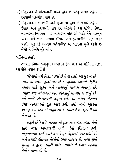- ૨) મોહબ્બત બે મોટાઓની વચ્ચે હોય છે પરંતુ બાળક રહેમતની છાયામાં પરવરીશ પામે છે.
- ૩) મોહબ્બતમાં બરાબરી અને મુકાબલો હોય છે જ્યારે રહેમતમાં ઈસાર અને કુરબાની હોય છે. એટલે કે આ સંબંધ હંમેશા બરાબરની ખિદમત ઉપર આધારીત નહિ રહે બલ્કે તેને મઝબુત કરવા અને બાકી રાખવા ઈસાર અને કુરબાનીની પણ જરૂર પડશે. ખુદાવંદે આલમે પહેલેથીજ એ ભાવના મુકી દીધી છે જેથી તે સંબંધ તૂટે નહિ.

#### પત્નિના હક્કોઃ

હઝરત ઈમામ ઝયનુલ આબેદીન (અ.સ.) એ પત્નિના હક્કો આ રીતે બયાન કર્યા છે.

'જેનાથી તમે નિકાહ કર્યા છે તેના હક્કો આ મુજબ છેઃ તમને એ ખબર હોવી જોઈએ કે ખુદાવંદે આલમે તેણીને તમારા માટે સુકુન અને આરામનું માધ્યમ બનાવ્યું છે. તમારા માટે મોહબ્બત અને દોસ્તીનું માધ્યમ બનાવ્યું છે. તમે બન્ને એકબીજાની જરૂરત છો. આ મહાન નેઅમત ઉપર અલ્લાહનો શુક્ર અદા કરો. તમો બન્ને ખુદાના વખાણ કરો અને એ જાણી લો કે તમારા ઉપર ખુદાની આ  $724478$ 

જરૂરી છે કે તમે અલ્લાહનો શુક્ર અદા કરતા કરતા તેની સાથે સારા અખ્લાકથી વર્તો. તેની ઈઝઝત કરો. મોહબ્બતથી વર્તો. ભલે તમારો હક તેણીની ઉપર વધારે છે અને તમારી ઈતાઅત તેણીની ઉપર વાજીબ છે. જ્યાં સુધી ગુનાહ ન હોય, તમારી પસંદ નાપસંદનો ખ્યાલ રાખવો તેની જવાબદારી છે.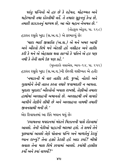પરંત પત્નિનો એ હક છે કે રહેમત. મોહબ્બત અને મહેરબાની તથા દોસ્તીથી વર્તે. તે તમારા સુકૃનનું કેન્દ્ર છે, તમારી લઝઝતનું માધ્યમ છે, આ એક મહાન નેઅમત છે.'  $($ તોહફલ ઓકુલ, પા. ૨૬૮ $)$ 

હઝરત રસુલે ખુદા (સ.અ.વ.) એ ફરમાવ્યું છે:

'મારા ભાઈ જીબ્રઈલ (અ.સ.) એ મને ખબર આપી અને ઔરતો વિષે મને એટલી હદે નસીહત અને તાકીદ કરી કે મને એ એહસાસ થવા લાગ્યો કે પતિને એ હક પણ નથી કે તેની સામે ઉક પણ કહે.'

(મસ્તદરકે વસાએલ, ભાગ-૧૪, પા. ૨૫૨) હઝરત રસુલે ખુદા (સ.અ.વ.)ની છેલ્લી વસીય્યત એ હતીઃ

'નમાઝની બે વાર તાકીદ કરી. જુઓ, નોકરો અને ગલામોને તેની તાકત કરતા વધારે જવાબદારી ન આપતા. ખુદારા ખુદારા! ઔરતોનો ખયાલ રાખજો, તેણીઓ તમારા હાથોમાં અલ્લાહની અમાનતો છે. અલ્લાહથી તમે વાયદો આપીને તેણીને લીધી છે અને અલ્લાહના નામથી તમારી જીવનસાથી બની છે.'

એક રિવાયતમાં આ રીતે બયાન થયું છે:

'કયામતના મયદાનમાં બંદાને મિઝાનની પાસે રોકવામાં આવશે. તેની નેકીઓ પહાડની બરાબર હશે. તે સમયે તેને પછવામાં આવશે તેણે પોતાના પત્નિ અને બાળકોનું કેટલું ધ્યાન રાખ્યું? તેના હક્કો કેટલી હદે અદા કર્યા? બીજો સવાલ તેના માલ વિષે કરવામાં આવશે. કયાંથી હાસીલ કર્યો અને કર્યા વાપર્યા?'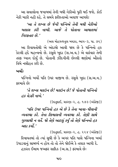આ સવાલોના જવાબમાં તેની બધી નેકીઓ પૂરી થઈ જશે. કોઈ નેકી બાકી નહી રહે. તે સમયે કરીશ્તાઓ અવાજ આપશેઃ

'આ તે શખ્સ છે જેની પત્નિએ તેની બધી નેકીઓ ખલાસ કરી નાખી. આજે તે પોતાના આમાલમાં ગિરકતાર છે.'

(અલ મોહજ્જતુલ બયઝા, ભાગ-૩, પા. ૭૬)

આ રિવાયતોથી એ અંદાજો આવી જાય છે કે પત્નિનો હક કેટલી હદે મહત્ત્વનો છે. રસુલે ખુદા (સ.અ.વ.) એ વારંવાર તેની તરફ ધ્યાન દોર્યું છે. પોતાની ઝીંદગીની છેલ્લી ક્ષણોમાં ઔરતો વિષે નસીહત કરી છે.

ખર્ચો:

પત્નિનો ખર્ચો પતિ ઉપર વાજીબ છે. રસુલે ખુદા (સ.અ.વ.) કરમાવે છે:

'તે શખ્સ મલઉન છે! મલઉન છે! જે પોતાની પત્નિનો  $\beta$ s dssl  $\eta$ ud.'

(ઉદતુદ્દાઈ, પ્રકરણ-૨, હુ. ૧૭૩ (અંગ્રેજી))

'પતિ ઉપર પત્નિનો હક એ છે કે તેના ખાવા-પીવાની વ્યવસ્થા કરે. તેના લિબાસની વ્યવસ્થા કરે. તેણી સાથે ગુસ્સાથી ન વર્તે. જો તેણે આટલું કર્યું તો તેણે પત્નિનો હક અદા કર્યો '

 $($ ઉદતુદ્દાઈ, પ્રકરણ-૨, હ. ૨૨૪  $(\overrightarrow{\mathrm{w2}})$ 

રિવાયતમાં તો ત્યાં સુધી છે કે અગર પતિ પાસે પત્નિના ખર્ચા ઉપાડવાનું સામર્થ્ય ન હોય તો તો તેને જોઈએ કે તલાક આપી દે. હઝરત ઈમામ જઅફર સાદિક (અ.સ.) ફરમાવે છે: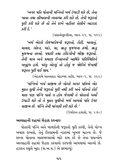'અગર પતિ પોતાની પત્નિનો ખર્ચ ઉપાડી શકે છે. તેના ખાવા તથા લીબાસની વ્યવસ્થા કરી શકે છે. તેની જરૂરતો પૂરી કરી શકે છે તો તેને રાખે નહીતર તેણીને આઝાદ  $\overline{\mathcal{L}}$ 

(વસાએલુશ્શીઆ, ભાગ-૨૧, પા. ૫૧૨)

'ખર્ચ એટલે રોજબરોજની જરૂરતો, રોટી, ખાવાનું, ચાવલ, ગોરત, ખાંડ, ચા, ઋતુ મુજબના ફળો, ઋતુ મુજબના વસ્ત્રો, પથારી તથા ઝીંદગીની બીજી જરૂરતો. તેની માત્ર અને પ્રમાણ ઈન્સાનની આર્થિક પરિસ્થિતિને અનુરૂપ હશે. પરંતુ એટલું તો હોવું જ જોઈએ જેનાથી જરૂરત પુરી થઈ જાય.'

(એહકામે ખાનવાદહ મોહમ્મદ વહીદ, ભાગ-૧, પા. ૩૬૯)

'પત્નિનો ખર્ચ વાજીબ છે એટલે અગર પતિએ એક મુદ્દત સુધી તેની જરૂરતો પુરી નથી કરી અને પતિનો કોઈ માલ પણ પત્નિ પાસે ન હોય જેનાથી તે પોતાનો ખર્ચો ઉપાડી શકે તો તે મુદ્દત સુધીનો ખર્ચ આપવો પતિ ઉપર વાજીબ છે. પત્નિ તેની માંગણી કરી શકે છે.'

(ઉપરોકત હવાલો, પા. ૨૭૦)

#### અલ્લાહની રાહમાં જેહાદ કરનારઃ

પોતાની પત્નિ અને બાળકોની જરૂરતો પુરી કરવી, તેનો યોગ્ય ખયાલ રાખવો, તેનું ઈસ્લામની નઝરમાં ખુબજ મહત્ત્વ છે. જે શખ્સ પોતાના બાલબચ્ચાઓ માટે કામ કરે છે તેના પ્રયત્નોને અલ્લાહની રાહમાં જેહાદ કરવાનો દરજ્જો આપવામાં આવ્યો છે. હઝરત રસૂલે ખુદા (સ.અ.વ.) એ ફરમાવ્યું: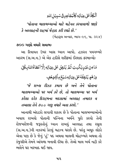#### ِ<br>پُ <sub></sub>ؠؙڿٲۿۣڔۣڧۣٛؖ۫ڛٙؠؚؽٙ ْ م ر<br>م ِ<br>دَّعَلٰی عِیَالِهٖ کَا د <u>ر</u> َک ر<br>أ م ر<br>آ ٱلْكَادَّ عَلَىٰ عِيَالِهٖ كَالْمُجَاْهِدِفِي سَبِيۡلِ اللهِ

'પોતાના બાલબચ્ચાઓ માટે મહેનત કરવાવાળો જાણે કે અલ્લાહની રાહમાં જેહાદ કરી રહ્યો છે.'

 $($ બેહારૂલ અન્વાર, ભાગ-૯૬, પા. ૩૨૪)

#### ૭૦૦ ગણો વધારે સવાબઃ

આ રિવાયત ઉપર ખાસ ધ્યાન આપો. હઝરત પયગમ્બરે અકરમ (સ.અ.વ.) એ એક હદીસે શરીફમાં ઈરશાદ ફરમાવ્યોઃ

#### مَا مِنۡ عَبۡلٍ یَکۡسِبُ ثُمَّہٗ یُنۡفِقُ عَلٰی عِیَالِهٖ اِلَّا اَعۡطَاٰۃُاللّٰهُ بِکُلِّ ر<br>م َ ا ہے<br>ا ِ<br>يُنۡفِقُ عَلٰى عِيَالِهٖ اِلَّا ُ<u>ة</u> ِ<br>بَيْرِيَكۡسِبُ ثُمَّ*ر* ر<br>م ر<br>^ ر<br>ح غ ِِمْ <u>ۊۻ</u>ؚۼؙڣٟ ່<br>ີ່ສ ِ<br>آ <sub>ڡٛ۠</sub>ڡٓڵ؏ؾٵڸ؋ڛٙؽ*۫ۼٙ*ڡۣٲ و<br>د ه و<br>ا دِرۡهَمٍ یُنۡفِقُ <u>بو</u>

'જે શખ્સ રીઝક કમાય છે અને તેને પોતાના બાલબચ્ચાઓ પર ખર્ચ કરે છે, તો બાલબચ્ચા પર ખર્ચ કરેલા દરેક દિરહમના બદલામાં અલ્લાહ તબારક વ તઆલા તેને ૭૦૦ ગણુ વધારે અતા કરશે.'

આનાથી અંદાઝો લગાવી શકાય છે કે પોતાના બાલબચ્ચાઓનો ખયાલ રાખવો પોતાની પત્નિના ખર્ચને પુરો કરવો તેની રોજબરોજની જરૂરતોનું ધ્યાન રાખવું અલ્લાહ તથા રસુલ (સ.અ.વ.)ની નઝરમાં કેટલું મહત્ત્વ ધરાવે છે. પરંતુ અમૂક લોકો એવા પણ છે કે જેનું 'હું' પદ અથવા માલની મોહબ્બતે અથવા તો કંજુસીએ તેમને આંધળા બનાવી દીધા છે. તેઓ માલ ખર્ચ નહી કરે ભલેને ઘર બરબાદ થઈ જાય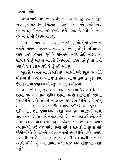પતિના હક્કોઃ

અન્સારમાંથી એક સ્ત્રી કે જેનું નામ અસ્મા હતું હઝરત રસુલે ખુદા (સ.અ.વ.)ની ખિદમતમાં આવી. તે સમયે રસુલે ખુદા (સ.અ.વ.) પોતાના અસ્હાબની વચ્ચે હતા. તે સ્ત્રી એ આપ (સ.અ.વ.)ની ખિદમતમાં કહ્યં:

મારા માં-બાપ આપ ઉપર કુરબાન! હું ઔરતોની પ્રતિનીધી બનીને આપની ખિદમતમાં આવી છું અને હું સંપુર્ણ અસ્તિત્વથી આપ ઉપર કુરબાન! પૂર્વ કે પશ્વિમમાં અગર કોઈ ઔરત આ સાંભળે જે હું અત્યારે આપની ખિદમતમાં હાજર થઈ છું તો તેણી પણ તે જ કહેવા માંગશે જે હું કહી રહી છું.

ખુદાવંદે આલમે આપને મર્દો તથા ઔરતો માટે રસુલ બનાવીને મોકલ્યા છે. અમે આપના ઉપર ઈમાન લાવ્યા તથા તે ખુદા ઉપર ઈમાન લાવ્યા જેણે આપને રસુલ બનાવીને મોકલ્યા.

અમો સ્ત્રીઓનું જૂથ ઘરની ચાર દિવાલોમાં કેદ અને સિમિત છીએ. પોતાના ઘરોમાં રહીએ છીએ. તમારી (પુરૂષોની) જરૂરતો પુરી કરીએ છીએ, તમારી અવલાદની પરવરીશ કરીએ છીએ પરંતુ તમો મર્દોને અમારા ઉપર ફઝીલત પ્રાપ્ત થઈ છે. તમો જુમ્આમાં શરીક થાવ છો, જમાઅતમાં શરીક થાવ છો, મરીઝોની ખબર કાઢવા જાવ છો, તશીએ જનાઝા કરો છો, હજ અદા કરો છો, અને સૌથી વધારે અલ્લાહની રાહમાં જેહાદ કરો છો અને જ્યારે તમારામાંથી કોઈ હજ માટે. ઉમરા માટે કે સરહદોની સરક્ષા માટે ઘરેથી નીકળે છે તો અમે આપના માલની રક્ષા કરીએ છીએ. તમારા માટે લીબાસ તૈયાર કરીએ છીએ, તમારી અવલાદની તરબીયત કરીએ છીએ. શું અમે તમારી સાથે અજ અને સવાબમાં શરીક થશું?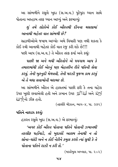આ સાંભળીને રસુલે ખુદા (સ.અ.વ.) પુરેપુરા ધ્યાન સાથે પોતાના અસ્હાબ તરફ ધ્યાન આપ્યું અને ફરમાવ્યું:

શું તમે લોકોએ કોઈ ઔરતથી દીનના મસલામાં આનાથી બહેતર વાત સાંભળી છે?

સહાબીઓએ જવાબ આપ્યોઃ અમે વિચારી પણ નથી શકતા કે કોઈ સ્ત્રી આનાથી બહેતર કોઈ વાત રજૂ કરી શકે છે!!! પછી આપ (સ.અ.વ.) તે ઔરત તરફ ફર્યા અને કહ્યું:

પાછી જા અને બધી ઔરતોને એ પયગામ આપ કે તમારામાંથી કોઈ એકનું પણ બેહતરીન રીતે પતિની સેવા કરવું, તેની ખુશ્નુદી મેળવવી, તેની મરઝી મુજબ કામ કરવું એ તે બધા સવાબોની બરાબર છે.

આ સાંભળીને ઔરત એ હાલતમાં પાછી કરી કે તના ચહેરા ( اللهُ) أَكْلِهُ اللهُ) أَكْبَرُ 34 اللهُ) (34 34 34 34) (34 34 34) ألا الله لله الرالة

(તફસીરે મીઝાન, ભાગ-૪, પા. ૩૭૨)

પતિને નારાઝ કરવંઃ

હઝરત રસુલે ખુદા (સ.અ.વ.) એ ફરમાવ્યું:

'અગર કોઈ ઔરત પોતાના પતિને પોતાની ઝબાનથી તકલીફ પહોંચાડે, તો ખુદાવંદે આલમ તેનાથી ન તો સોના-ચાંદી અને ન કોઈ નેકીને કબુલ કરશે ત્યાં સુધી કે તે પોતાના પતિને રાઝી ન કરી લે.'

(મકારેમલ અખ્લાક, પા. ૨૦૨)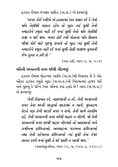હઝરત ઈમામ જઅફર સાદિક (અ.સ.) એ ફરમાવ્યું:

'અગર કોઈ સ્ત્રીએ એ હાલતમાં રાત પસાર કરે કે તેનો પતિ તેણીથી નારાઝ હોય તો ખદા ત્યાં સધી તેની નમાઝોને કબુલ નહી કરે જ્યાં સુધી તેનો પતિ તેણીથી રાજી ન થઈ જાય. અગર કોઈ સ્ત્રી પોતાના પતિ સિવાય બીજા કોઈ માટે ખુશ્બુ લગાવે તો ખુદા ત્યાં સુધી તેની નમાઝોને કબુલ નહી કરે જ્યાં સુધી તેણી વાજીબ ગુસ્લની જેમ ગુસ્લ ન કરી લે.'

(અલ કાફી, ભાગ-પ, પા. ૫૦૭)

#### પતિની પરવાનગી વગર ઘરેથી નીકળવુંઃ

હઝરત ઈમામ મોહમ્મદ બાકીર (અ.સ.)થી રિવાયત છે કે એક ઔરત હઝરત રસુલે ખુદા (સ.અ.વ.)ની ખિદમતમાં હાજર થઈ અને પુછયું કે પત્નિ ઉપર પતિના કયા હક્કો છે? આપ (સ.અ.વ.) એ ફરમાવ્યું:

'તેની ઈતાઅત કરે. નાફરમાની ન કરે. તેની પરવાનગી વગર તેના ઘરની વસ્તુઓ સદકામાં ન આપે, મુસ્તહબ રોઝો પણ તેની મરઝી વગર ન રાખે. તેની સામે તસ્લીમ રહે. તેની પરવાનગી વગર ઘરેથી બહાર ન નીકળે. જો તેની પરવાનગી વગર ઘરથી બહાર નીકળશે તો આસમાનો અને ઝમીનના ફરીશ્તાઓ. અલ્લાહના ગઝબના ફરીશ્તાઓ તથા તેની રહેમતના ફરિશ્તાઓ ત્યાં સુધી તેના ઉપર લાનત કરશે જ્યાં સુધી તે ઘરે પાછી ન આવી જાય.'

(વસાએલુશ્શીઆ, ભાગ-૨૬, પા. ૧૫૭. હુ. ૨૫૩૦૦)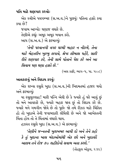પતિ માટે શણગાર કરવોઃ

એક સ્ત્રીએ પયગમ્બર (સ.અ.વ.)ને પૂછયુંઃ પતિના હૂક્કો કયા કયા છે?

જવાબ આપ્યો: ઘણાજ વધારે છે. તેણીએ કહ્યું: અમૂક અમૂક બયાન કરો. આપ (સ.અ.વ.) એ ફરમાવ્યું:

'તેની પરવાનગી વગર ઘરથી બહાર ન નીકળે, તેના માટે બેહતરીન ખુશ્બુ લગાવે, શ્રેષ્ઠ લીબાસ પહેરે, સારી રીતે શણગાર કરે. તેની સામે પોતાને પેશ કરે અને આ સિવાય પણ ઘણા હક્કો છે.'

(અલ કાફી, ભાગ-પ, પા. ૫૦૮)

આવકારવું અને વિદાય કરવુંઃ

એક શખ્સ રસૂલે ખુદા (સ.અ.વ.)ની ખિદમતમાં હાજર થયો અને કરમાવ્યં:

યા રસલલ્લાહ! મારી પત્નિ એવી છે કે જ્યારે હું ઘરે આવું છું તો મને આવકારે છે, જ્યારે બહાર જાવ છું તો વિદાય કરે છે. જ્યારે મને ગમગીન જોવે છે તો પુછે: જો તમે રીઝક માટે ચિંતિત હો તો ખુદાએ તેની જવાબદારી લીધેલી છે અને જો આખેરતની ચિંતા હોય તો તે ચિંતામાં વધારો થાય.

હઝરત રસુલે ખુદા (સ.અ.વ.) એ ફરમાવ્યું:

'તેણીને જન્નતની ખુશખબર આપી દો અને તેને કહો કે તું ખુદાના ખાસ બંદાઓમાંથી એક છો અને ખુદાવંદે આલમ તને રોજ ૭૦ શહીદોનો સવાબ અતા કરશે.' (તોહફલ ઓકલ. ૨૩૯)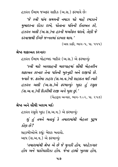હઝરત ઈમામ જઅફર સાદિક (અ.સ.) ફરમાવે છે:

'જે સ્ત્રી પાંચ સમયની નમાઝ પઢે માહે રમઝાને મુબારકના રોઝા રાખે. પોતાના પતિની ઈતાઅત કરે. હઝરત અલી (અ.સ.)ના હકની મઅરેફત ધરાવે. તેણી જે દરવાજાથી ઈચ્છે જન્નતમાં દાખલ થાય.'

(અલ કાફી, ભાગ-૫, પા. ૫૫૫)

#### શ્રેષ્ઠ શકાઅત કરનારઃ

હઝરત ઈમામ મોહમ્મદ બાકિર (અ.સ.) એ ફરમાવ્યું:

'સ્ત્રી માટે અલ્લાહની બારગાહમાં સૌથી બેહતરીન શફાઅત કરનાર તેના પતિની ખુશ્નુદી અને રાજીપો છે. જ્યારે જ. ક્રાતેમા ઝહરા (સ.અ.વ.)ની શહાદત થઈ ત્યારે હઝરત અલી (અ.સ.)એ કરમાવ્યુંઃ ખુદા હું રસુલ (સ.અ.વ.)ની દિકરીથી રાજી અને ખુશ છં.'

(બેહારૂલ અન્વાર, ભાગ-૧૦૨, પા. ૨૫૭)

શ્રેષ્ઠ અને સૌથી ખરાબ મર્દ:

હઝરત રસુલે ખુદા (સ.અ.વ.) એ કરમાવ્યં:

શું હું તમને બતાવું કે તમારામાંથી બેહતર પુરૂષ કોણ છે?

સહાબીઓએ કહ્યુંઃ બેશક બતાવો. આપ (સ.અ.વ.) એ ફરમાવ્યં:

'તમારામાંથી શ્રેષ્ઠ એ છે જે મુત્તકી હોય, પરહેઝગાર હોય અને પાકોપાકીઝા હોય. જેના હાથો ખુલ્લા હોય,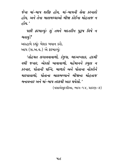જેના માં-બાપ શરીક હોય. માં-બાપની સેવા કરનારો હોય. અને તેના બાલબચ્ચાઓ બીજા કોઈના મોહતાજ ન  $\beta$ ષ્ટ્રિ $^{\prime}$ 

पछी इश्माव्युः शुं तमने अहतरीन पुरुष विषे न બતાવું?

અસ્હાબે કહ્યુંઃ બેશક બયાન કરો. આપ (સ.અ.વ.) એ ફરમાવ્યું:

'તોહમત લગાવવાવાળો, કંજુસ, બદઅખ્લાક, હદથી વધી જનાર. એકલો ખાવાવાળો. મહેમાનને કબલ ન કરનાર, પોતાની પત્નિ, બાળકો અને પોતાના નોકરોને મારવાવાળો. પોતાના બાલબચ્ચાને બીજાના મોહતાજ બનાવનાર અને માં-બાપ તરકથી આક થયેલો.'

(વસાએલશ્શીઆ. ભાગ-૧૪. પ્રકરણ-૭)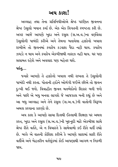### અય કાશ!

અલ્લાહ તથા તેના પ્રતિનિધીઓએ શ્રેષ્ઠ પરણિત જીવનના શ્રેષ્ઠ ઉસલો બયાન કર્યા છે. એક એક વિગતની સ્પષ્ટતા કરી છે. અગર આજે આપણે ખદા અને રસલ (સ.અ.વ.)ના વર્ણવેલા ઉસલોની પાબંદી કરીએ અને તેમના બતાવેલા હક્કોનો ખયાલ રાખીએ તો જીવનમાં કયારેય કડવાશ પૈદા નહી થાય. કયારેય ઝઘડો ન થાય અને કયારેય એકબીજાથી નારાઝ નહી થાય. ઘર પણ સલામત રહેશે અને અવલાદ પણ બહેતર થશે.

પરંત…

જ્યારે આપણે તે હક્કોનો ખયાલ નથી રાખતા તે ઉસલોની પાબંદી નથી કરતા. પોતાની હદોને ઓળંગી જઈએ છીએ તો જીવન દઃખી થઈ જશે. વિવાહીત જીવન મતભેદોનો શિકાર બની જશે અને પછી એ બધુ બનવા લાગશે જે આજકાલ બની રહ્યું છે અને આ બધુ અલ્લાહ અને તેને રસુલ (સ.અ.વ.)ની વાતોની વિરૂધ્ધ અમલ કરવાના કારણો છે.

અય કાશ કે આપણે સાચા દિલથી ઈસ્લામી શિક્ષણ પર અમલ કરત, ખુદા અને રસુલ (સ.અ.વ.)ની ખુશ્નુદી માટે એકબીજા સાથે શ્રેષ્ઠ રીતે વર્તતે. એ ન વિચારતે કે સામેવાળો કઈ રીતે વર્તી રહ્યો છે. બલ્કે એ વાતની કોશિશ કરીએ કે આપણે સારામાં સારી રીતે વર્તીએ અને બેહતરીન વર્તણુંકમાં કોઈ આપણાથી આગળ ન નિકળી જાય.

૫૯